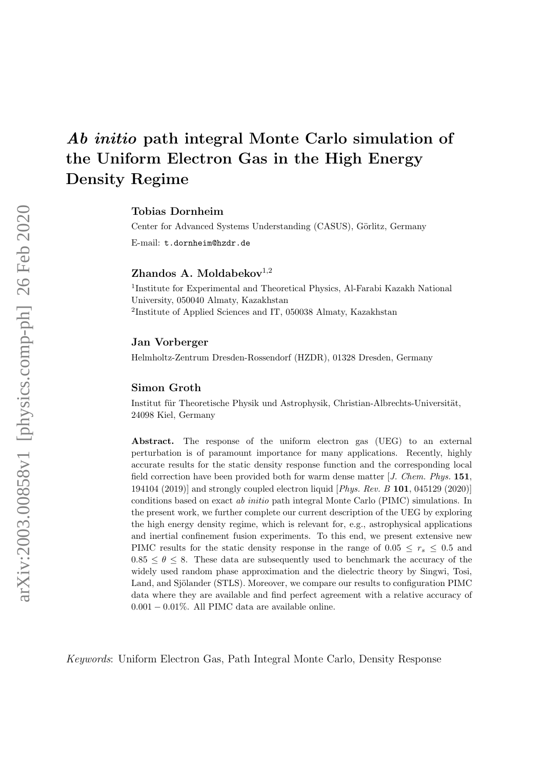# Ab initio path integral Monte Carlo simulation of the Uniform Electron Gas in the High Energy Density Regime

### Tobias Dornheim

Center for Advanced Systems Understanding (CASUS), Görlitz, Germany

E-mail: t.dornheim@hzdr.de

# Zhandos A. Moldabekov $1,2$

<sup>1</sup>Institute for Experimental and Theoretical Physics, Al-Farabi Kazakh National University, 050040 Almaty, Kazakhstan 2 Institute of Applied Sciences and IT, 050038 Almaty, Kazakhstan

#### Jan Vorberger

Helmholtz-Zentrum Dresden-Rossendorf (HZDR), 01328 Dresden, Germany

#### Simon Groth

Institut für Theoretische Physik und Astrophysik, Christian-Albrechts-Universität, 24098 Kiel, Germany

Abstract. The response of the uniform electron gas (UEG) to an external perturbation is of paramount importance for many applications. Recently, highly accurate results for the static density response function and the corresponding local field correction have been provided both for warm dense matter [J. Chem. Phys. 151, 194104 (2019)] and strongly coupled electron liquid [Phys. Rev. B 101, 045129 (2020)] conditions based on exact ab initio path integral Monte Carlo (PIMC) simulations. In the present work, we further complete our current description of the UEG by exploring the high energy density regime, which is relevant for, e.g., astrophysical applications and inertial confinement fusion experiments. To this end, we present extensive new PIMC results for the static density response in the range of  $0.05 \le r_s \le 0.5$  and  $0.85 \le \theta \le 8$ . These data are subsequently used to benchmark the accuracy of the widely used random phase approximation and the dielectric theory by Singwi, Tosi, Land, and Sjölander (STLS). Moreover, we compare our results to configuration PIMC data where they are available and find perfect agreement with a relative accuracy of 0.001 − 0.01%. All PIMC data are available online.

Keywords: Uniform Electron Gas, Path Integral Monte Carlo, Density Response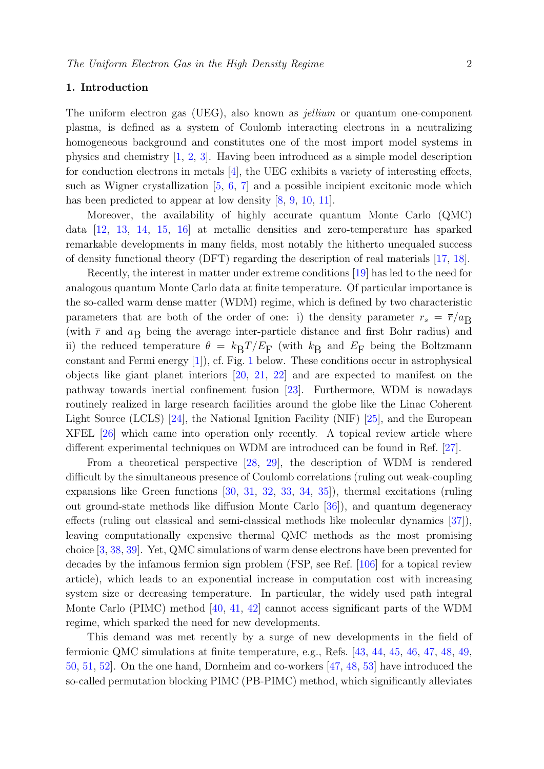# 1. Introduction

The uniform electron gas (UEG), also known as jellium or quantum one-component plasma, is defined as a system of Coulomb interacting electrons in a neutralizing homogeneous background and constitutes one of the most import model systems in physics and chemistry [\[1,](#page-22-0) [2,](#page-22-1) [3\]](#page-22-2). Having been introduced as a simple model description for conduction electrons in metals  $[4]$ , the UEG exhibits a variety of interesting effects, such as Wigner crystallization [\[5,](#page-22-4) [6,](#page-22-5) [7\]](#page-22-6) and a possible incipient excitonic mode which has been predicted to appear at low density  $[8, 9, 10, 11]$  $[8, 9, 10, 11]$  $[8, 9, 10, 11]$  $[8, 9, 10, 11]$  $[8, 9, 10, 11]$  $[8, 9, 10, 11]$  $[8, 9, 10, 11]$ .

Moreover, the availability of highly accurate quantum Monte Carlo (QMC) data [\[12,](#page-22-11) [13,](#page-22-12) [14,](#page-22-13) [15,](#page-22-14) [16\]](#page-23-0) at metallic densities and zero-temperature has sparked remarkable developments in many fields, most notably the hitherto unequaled success of density functional theory (DFT) regarding the description of real materials [\[17,](#page-23-1) [18\]](#page-23-2).

Recently, the interest in matter under extreme conditions [\[19\]](#page-23-3) has led to the need for analogous quantum Monte Carlo data at finite temperature. Of particular importance is the so-called warm dense matter (WDM) regime, which is defined by two characteristic parameters that are both of the order of one: i) the density parameter  $r_s = \bar{r}/a_B$ (with  $\bar{r}$  and  $a_B$  being the average inter-particle distance and first Bohr radius) and ii) the reduced temperature  $\theta = k_{\rm B}T/E_{\rm F}$  (with  $k_{\rm B}$  and  $E_{\rm F}$  being the Boltzmann constant and Fermi energy [\[1\]](#page-22-0)), cf. Fig. [1](#page-3-0) below. These conditions occur in astrophysical objects like giant planet interiors [\[20,](#page-23-4) [21,](#page-23-5) [22\]](#page-23-6) and are expected to manifest on the pathway towards inertial confinement fusion [\[23\]](#page-23-7). Furthermore, WDM is nowadays routinely realized in large research facilities around the globe like the Linac Coherent Light Source (LCLS) [\[24\]](#page-23-8), the National Ignition Facility (NIF) [\[25\]](#page-23-9), and the European XFEL [\[26\]](#page-23-10) which came into operation only recently. A topical review article where different experimental techniques on WDM are introduced can be found in Ref. [\[27\]](#page-23-11).

From a theoretical perspective [\[28,](#page-23-12) [29\]](#page-23-13), the description of WDM is rendered difficult by the simultaneous presence of Coulomb correlations (ruling out weak-coupling expansions like Green functions [\[30,](#page-23-14) [31,](#page-23-15) [32,](#page-23-16) [33,](#page-23-17) [34,](#page-23-18) [35\]](#page-23-19)), thermal excitations (ruling out ground-state methods like diffusion Monte Carlo [\[36\]](#page-23-20)), and quantum degeneracy effects (ruling out classical and semi-classical methods like molecular dynamics [\[37\]](#page-23-21)), leaving computationally expensive thermal QMC methods as the most promising choice [\[3,](#page-22-2) [38,](#page-23-22) [39\]](#page-23-23). Yet, QMC simulations of warm dense electrons have been prevented for decades by the infamous fermion sign problem (FSP, see Ref. [\[106\]](#page-27-0) for a topical review article), which leads to an exponential increase in computation cost with increasing system size or decreasing temperature. In particular, the widely used path integral Monte Carlo (PIMC) method  $[40, 41, 42]$  $[40, 41, 42]$  $[40, 41, 42]$  $[40, 41, 42]$  $[40, 41, 42]$  cannot access significant parts of the WDM regime, which sparked the need for new developments.

This demand was met recently by a surge of new developments in the field of fermionic QMC simulations at finite temperature, e.g., Refs. [\[43,](#page-24-3) [44,](#page-24-4) [45,](#page-24-5) [46,](#page-24-6) [47,](#page-24-7) [48,](#page-24-8) [49,](#page-24-9) [50,](#page-24-10) [51,](#page-24-11) [52\]](#page-24-12). On the one hand, Dornheim and co-workers [\[47,](#page-24-7) [48,](#page-24-8) [53\]](#page-24-13) have introduced the so-called permutation blocking PIMC (PB-PIMC) method, which significantly alleviates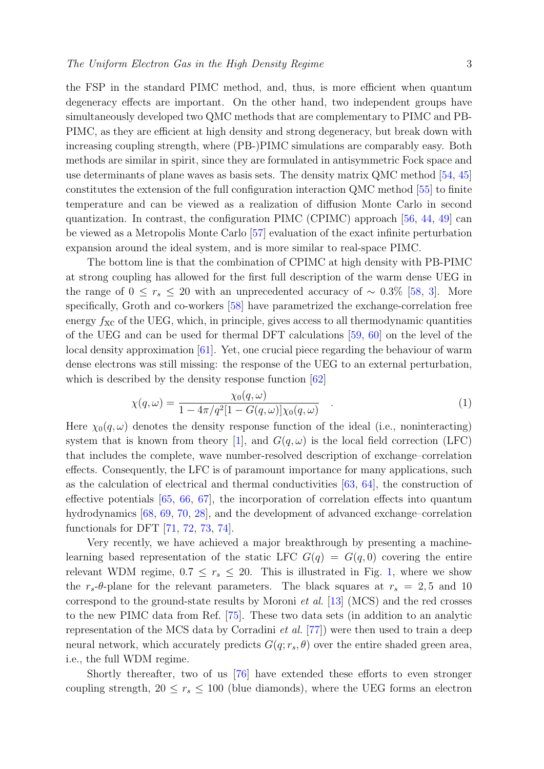the FSP in the standard PIMC method, and, thus, is more efficient when quantum degeneracy effects are important. On the other hand, two independent groups have simultaneously developed two QMC methods that are complementary to PIMC and PB-PIMC, as they are efficient at high density and strong degeneracy, but break down with increasing coupling strength, where (PB-)PIMC simulations are comparably easy. Both methods are similar in spirit, since they are formulated in antisymmetric Fock space and use determinants of plane waves as basis sets. The density matrix QMC method [\[54,](#page-24-14) [45\]](#page-24-5) constitutes the extension of the full configuration interaction QMC method [\[55\]](#page-24-15) to finite temperature and can be viewed as a realization of diffusion Monte Carlo in second quantization. In contrast, the configuration PIMC (CPIMC) approach [\[56,](#page-24-16) [44,](#page-24-4) [49\]](#page-24-9) can be viewed as a Metropolis Monte Carlo [\[57\]](#page-24-17) evaluation of the exact infinite perturbation expansion around the ideal system, and is more similar to real-space PIMC.

The bottom line is that the combination of CPIMC at high density with PB-PIMC at strong coupling has allowed for the first full description of the warm dense UEG in the range of  $0 \le r_s \le 20$  with an unprecedented accuracy of ~ 0.3% [\[58,](#page-24-18) [3\]](#page-22-2). More specifically, Groth and co-workers [\[58\]](#page-24-18) have parametrized the exchange-correlation free energy  $f_{\text{XC}}$  of the UEG, which, in principle, gives access to all thermodynamic quantities of the UEG and can be used for thermal DFT calculations [\[59,](#page-24-19) [60\]](#page-25-0) on the level of the local density approximation [\[61\]](#page-25-1). Yet, one crucial piece regarding the behaviour of warm dense electrons was still missing: the response of the UEG to an external perturbation, which is described by the density response function  $[62]$ 

<span id="page-2-0"></span>
$$
\chi(q,\omega) = \frac{\chi_0(q,\omega)}{1 - 4\pi/q^2[1 - G(q,\omega)]\chi_0(q,\omega)} \quad . \tag{1}
$$

Here  $\chi_0(q,\omega)$  denotes the density response function of the ideal (i.e., noninteracting) system that is known from theory [\[1\]](#page-22-0), and  $G(q,\omega)$  is the local field correction (LFC) that includes the complete, wave number-resolved description of exchange–correlation effects. Consequently, the LFC is of paramount importance for many applications, such as the calculation of electrical and thermal conductivities [\[63,](#page-25-3) [64\]](#page-25-4), the construction of effective potentials [\[65,](#page-25-5) [66,](#page-25-6) [67\]](#page-25-7), the incorporation of correlation effects into quantum hydrodynamics [\[68,](#page-25-8) [69,](#page-25-9) [70,](#page-25-10) [28\]](#page-23-12), and the development of advanced exchange–correlation functionals for DFT [\[71,](#page-25-11) [72,](#page-25-12) [73,](#page-25-13) [74\]](#page-25-14).

Very recently, we have achieved a major breakthrough by presenting a machinelearning based representation of the static LFC  $G(q) = G(q, 0)$  covering the entire relevant WDM regime,  $0.7 \le r_s \le 20$ . This is illustrated in Fig. [1,](#page-3-0) where we show the  $r_s$ - $\theta$ -plane for the relevant parameters. The black squares at  $r_s = 2, 5$  and 10 correspond to the ground-state results by Moroni et al. [\[13\]](#page-22-12) (MCS) and the red crosses to the new PIMC data from Ref. [\[75\]](#page-25-15). These two data sets (in addition to an analytic representation of the MCS data by Corradini et al. [\[77\]](#page-25-16)) were then used to train a deep neural network, which accurately predicts  $G(q; r_s, \theta)$  over the entire shaded green area, i.e., the full WDM regime.

Shortly thereafter, two of us [\[76\]](#page-25-17) have extended these efforts to even stronger coupling strength,  $20 \le r_s \le 100$  (blue diamonds), where the UEG forms an electron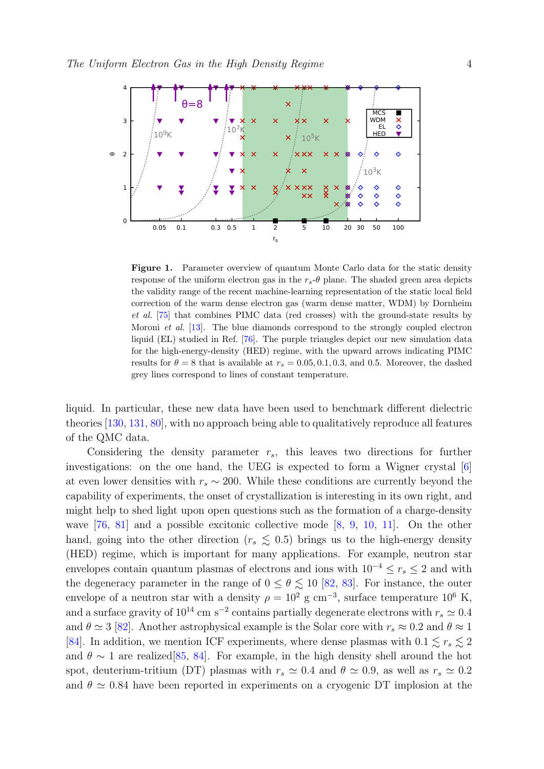

<span id="page-3-0"></span>Figure 1. Parameter overview of quantum Monte Carlo data for the static density response of the uniform electron gas in the  $r_s$ - $\theta$  plane. The shaded green area depicts the validity range of the recent machine-learning representation of the static local field correction of the warm dense electron gas (warm dense matter, WDM) by Dornheim et al. [\[75\]](#page-25-15) that combines PIMC data (red crosses) with the ground-state results by Moroni et al. [\[13\]](#page-22-12). The blue diamonds correspond to the strongly coupled electron liquid (EL) studied in Ref. [\[76\]](#page-25-17). The purple triangles depict our new simulation data for the high-energy-density (HED) regime, with the upward arrows indicating PIMC results for  $\theta = 8$  that is available at  $r_s = 0.05, 0.1, 0.3$ , and 0.5. Moreover, the dashed grey lines correspond to lines of constant temperature.

liquid. In particular, these new data have been used to benchmark different dielectric theories [\[130,](#page-25-18) [131,](#page-25-19) [80\]](#page-25-20), with no approach being able to qualitatively reproduce all features of the QMC data.

Considering the density parameter  $r<sub>s</sub>$ , this leaves two directions for further investigations: on the one hand, the UEG is expected to form a Wigner crystal [\[6\]](#page-22-5) at even lower densities with  $r_s \sim 200$ . While these conditions are currently beyond the capability of experiments, the onset of crystallization is interesting in its own right, and might help to shed light upon open questions such as the formation of a charge-density wave [\[76,](#page-25-17) [81\]](#page-26-0) and a possible excitonic collective mode [\[8,](#page-22-7) [9,](#page-22-8) [10,](#page-22-9) [11\]](#page-22-10). On the other hand, going into the other direction  $(r_s \leq 0.5)$  brings us to the high-energy density (HED) regime, which is important for many applications. For example, neutron star envelopes contain quantum plasmas of electrons and ions with  $10^{-4} \le r_s \le 2$  and with the degeneracy parameter in the range of  $0 \le \theta \lesssim 10$  [\[82,](#page-26-1) [83\]](#page-26-2). For instance, the outer envelope of a neutron star with a density  $\rho = 10^2$  g cm<sup>-3</sup>, surface temperature 10<sup>6</sup> K, and a surface gravity of  $10^{14}$  cm s<sup>-2</sup> contains partially degenerate electrons with  $r_s \simeq 0.4$ and  $\theta \simeq 3$  [\[82\]](#page-26-1). Another astrophysical example is the Solar core with  $r_s \approx 0.2$  and  $\theta \approx 1$ [\[84\]](#page-26-3). In addition, we mention ICF experiments, where dense plasmas with  $0.1 \le r_s \le 2$ and  $\theta \sim 1$  are realized[\[85,](#page-26-4) [84\]](#page-26-3). For example, in the high density shell around the hot spot, deuterium-tritium (DT) plasmas with  $r_s \simeq 0.4$  and  $\theta \simeq 0.9$ , as well as  $r_s \simeq 0.2$ and  $\theta \simeq 0.84$  have been reported in experiments on a cryogenic DT implosion at the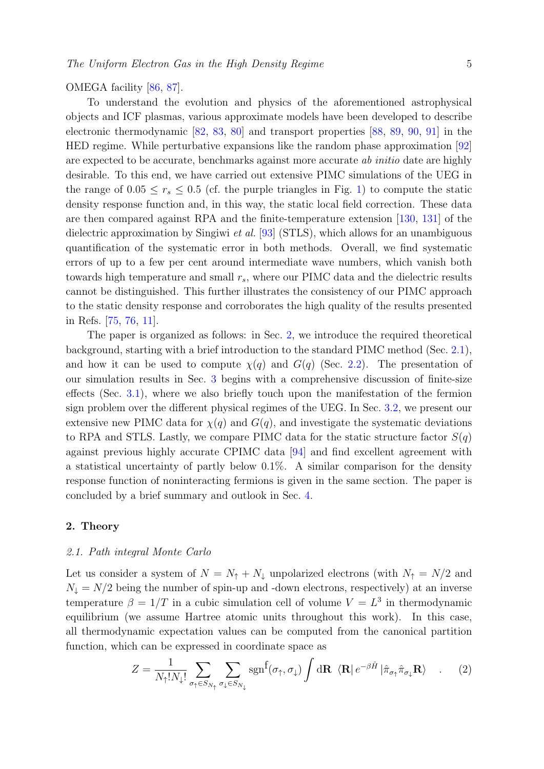# OMEGA facility [\[86,](#page-26-5) [87\]](#page-26-6).

To understand the evolution and physics of the aforementioned astrophysical objects and ICF plasmas, various approximate models have been developed to describe electronic thermodynamic [\[82,](#page-26-1) [83,](#page-26-2) [80\]](#page-25-20) and transport properties [\[88,](#page-26-7) [89,](#page-26-8) [90,](#page-26-9) [91\]](#page-26-10) in the HED regime. While perturbative expansions like the random phase approximation [\[92\]](#page-26-11) are expected to be accurate, benchmarks against more accurate ab initio date are highly desirable. To this end, we have carried out extensive PIMC simulations of the UEG in the range of  $0.05 \le r_s \le 0.5$  (cf. the purple triangles in Fig. [1\)](#page-3-0) to compute the static density response function and, in this way, the static local field correction. These data are then compared against RPA and the finite-temperature extension [\[130,](#page-25-18) [131\]](#page-25-19) of the dielectric approximation by Singiwi et al. [\[93\]](#page-26-12) (STLS), which allows for an unambiguous quantification of the systematic error in both methods. Overall, we find systematic errors of up to a few per cent around intermediate wave numbers, which vanish both towards high temperature and small  $r_s$ , where our PIMC data and the dielectric results cannot be distinguished. This further illustrates the consistency of our PIMC approach to the static density response and corroborates the high quality of the results presented in Refs. [\[75,](#page-25-15) [76,](#page-25-17) [11\]](#page-22-10).

The paper is organized as follows: in Sec. [2,](#page-4-0) we introduce the required theoretical background, starting with a brief introduction to the standard PIMC method (Sec. [2.1\)](#page-4-1), and how it can be used to compute  $\chi(q)$  and  $G(q)$  (Sec. [2.2\)](#page-6-0). The presentation of our simulation results in Sec. [3](#page-7-0) begins with a comprehensive discussion of finite-size effects (Sec. [3.1\)](#page-7-1), where we also briefly touch upon the manifestation of the fermion sign problem over the different physical regimes of the UEG. In Sec. [3.2,](#page-13-0) we present our extensive new PIMC data for  $\chi(q)$  and  $G(q)$ , and investigate the systematic deviations to RPA and STLS. Lastly, we compare PIMC data for the static structure factor  $S(q)$ against previous highly accurate CPIMC data [\[94\]](#page-26-13) and find excellent agreement with a statistical uncertainty of partly below 0.1%. A similar comparison for the density response function of noninteracting fermions is given in the same section. The paper is concluded by a brief summary and outlook in Sec. [4.](#page-20-0)

## <span id="page-4-0"></span>2. Theory

#### <span id="page-4-1"></span>2.1. Path integral Monte Carlo

Let us consider a system of  $N = N_{\uparrow} + N_{\downarrow}$  unpolarized electrons (with  $N_{\uparrow} = N/2$  and  $N_{\downarrow} = N/2$  being the number of spin-up and -down electrons, respectively) at an inverse temperature  $\beta = 1/T$  in a cubic simulation cell of volume  $V = L^3$  in thermodynamic equilibrium (we assume Hartree atomic units throughout this work). In this case, all thermodynamic expectation values can be computed from the canonical partition function, which can be expressed in coordinate space as

<span id="page-4-2"></span>
$$
Z = \frac{1}{N_{\uparrow}! N_{\downarrow}!} \sum_{\sigma_{\uparrow} \in S_{N_{\uparrow}}} \sum_{\sigma_{\downarrow} \in S_{N_{\downarrow}}} \text{sgn}^{\text{f}}(\sigma_{\uparrow}, \sigma_{\downarrow}) \int d\mathbf{R} \langle \mathbf{R} | e^{-\beta \hat{H}} | \hat{\pi}_{\sigma_{\uparrow}} \hat{\pi}_{\sigma_{\downarrow}} \mathbf{R} \rangle \quad . \tag{2}
$$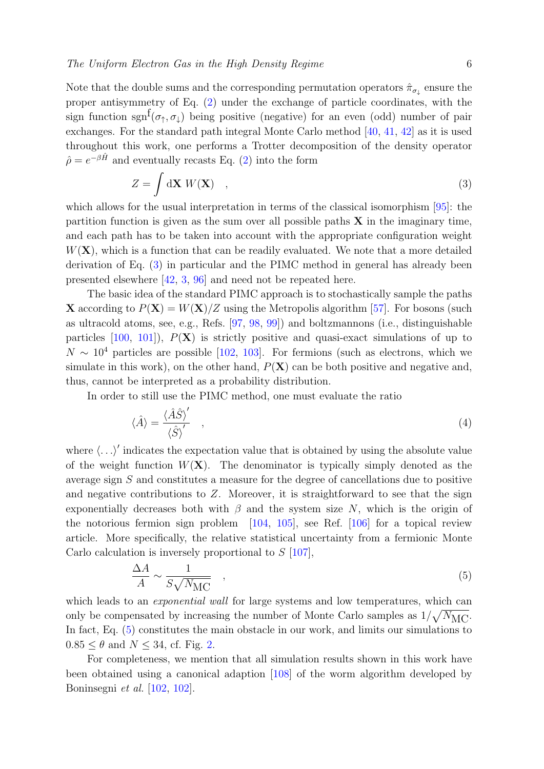Note that the double sums and the corresponding permutation operators  $\hat{\pi}_{\sigma_{\downarrow}}$  ensure the proper antisymmetry of Eq. [\(2\)](#page-4-2) under the exchange of particle coordinates, with the sign function sgn<sup>f</sup> $(\sigma_{\uparrow}, \sigma_{\downarrow})$  being positive (negative) for an even (odd) number of pair exchanges. For the standard path integral Monte Carlo method [\[40,](#page-24-0) [41,](#page-24-1) [42\]](#page-24-2) as it is used throughout this work, one performs a Trotter decomposition of the density operator  $\hat{\rho} = e^{-\beta \hat{H}}$  and eventually recasts Eq. [\(2\)](#page-4-2) into the form

<span id="page-5-0"></span>
$$
Z = \int d\mathbf{X} \; W(\mathbf{X}) \quad , \tag{3}
$$

which allows for the usual interpretation in terms of the classical isomorphism [\[95\]](#page-26-14): the partition function is given as the sum over all possible paths  $X$  in the imaginary time, and each path has to be taken into account with the appropriate configuration weight  $W(X)$ , which is a function that can be readily evaluated. We note that a more detailed derivation of Eq. [\(3\)](#page-5-0) in particular and the PIMC method in general has already been presented elsewhere [\[42,](#page-24-2) [3,](#page-22-2) [96\]](#page-26-15) and need not be repeated here.

The basic idea of the standard PIMC approach is to stochastically sample the paths **X** according to  $P(X) = W(X)/Z$  using the Metropolis algorithm [\[57\]](#page-24-17). For bosons (such as ultracold atoms, see, e.g., Refs. [\[97,](#page-26-16) [98,](#page-26-17) [99\]](#page-26-18)) and boltzmannons (i.e., distinguishable particles  $[100, 101]$  $[100, 101]$  $[100, 101]$ ,  $P(X)$  is strictly positive and quasi-exact simulations of up to  $N \sim 10^4$  particles are possible [\[102,](#page-26-21) [103\]](#page-26-22). For fermions (such as electrons, which we simulate in this work), on the other hand,  $P(X)$  can be both positive and negative and, thus, cannot be interpreted as a probability distribution.

In order to still use the PIMC method, one must evaluate the ratio

$$
\langle \hat{A} \rangle = \frac{\langle \hat{A}\hat{S} \rangle'}{\langle \hat{S} \rangle'} \quad , \tag{4}
$$

where  $\langle \ldots \rangle'$  indicates the expectation value that is obtained by using the absolute value of the weight function  $W(\mathbf{X})$ . The denominator is typically simply denoted as the average sign S and constitutes a measure for the degree of cancellations due to positive and negative contributions to Z. Moreover, it is straightforward to see that the sign exponentially decreases both with  $\beta$  and the system size N, which is the origin of the notorious fermion sign problem [\[104,](#page-26-23) [105\]](#page-27-1), see Ref. [\[106\]](#page-27-0) for a topical review article. More specifically, the relative statistical uncertainty from a fermionic Monte Carlo calculation is inversely proportional to S [\[107\]](#page-27-2),

<span id="page-5-1"></span>
$$
\frac{\Delta A}{A} \sim \frac{1}{S\sqrt{N_{\text{MC}}}} \quad , \tag{5}
$$

which leads to an *exponential wall* for large systems and low temperatures, which can only be compensated by increasing the number of Monte Carlo samples as  $1/\sqrt{N_{\text{MC}}}$ . In fact, Eq. [\(5\)](#page-5-1) constitutes the main obstacle in our work, and limits our simulations to  $0.85 \leq \theta$  and  $N \leq 34$ , cf. Fig. [2.](#page-7-2)

For completeness, we mention that all simulation results shown in this work have been obtained using a canonical adaption [\[108\]](#page-27-3) of the worm algorithm developed by Boninsegni et al. [\[102,](#page-26-21) [102\]](#page-26-21).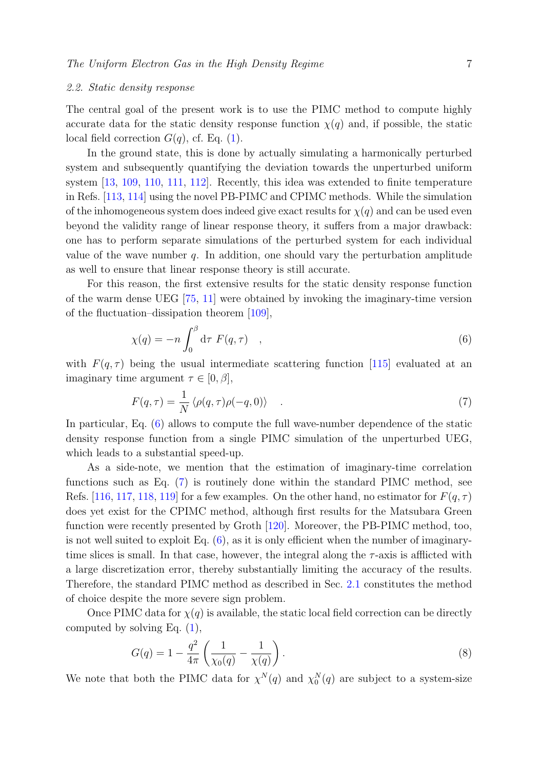## <span id="page-6-0"></span>2.2. Static density response

The central goal of the present work is to use the PIMC method to compute highly accurate data for the static density response function  $\chi(q)$  and, if possible, the static local field correction  $G(q)$ , cf. Eq. [\(1\)](#page-2-0).

In the ground state, this is done by actually simulating a harmonically perturbed system and subsequently quantifying the deviation towards the unperturbed uniform system [\[13,](#page-22-12) [109,](#page-27-4) [110,](#page-27-5) [111,](#page-27-6) [112\]](#page-27-7). Recently, this idea was extended to finite temperature in Refs. [\[113,](#page-27-8) [114\]](#page-27-9) using the novel PB-PIMC and CPIMC methods. While the simulation of the inhomogeneous system does indeed give exact results for  $\chi(q)$  and can be used even beyond the validity range of linear response theory, it suffers from a major drawback: one has to perform separate simulations of the perturbed system for each individual value of the wave number  $q$ . In addition, one should vary the perturbation amplitude as well to ensure that linear response theory is still accurate.

For this reason, the first extensive results for the static density response function of the warm dense UEG [\[75,](#page-25-15) [11\]](#page-22-10) were obtained by invoking the imaginary-time version of the fluctuation–dissipation theorem [\[109\]](#page-27-4),

<span id="page-6-1"></span>
$$
\chi(q) = -n \int_0^\beta d\tau \ F(q, \tau) \quad , \tag{6}
$$

with  $F(q, \tau)$  being the usual intermediate scattering function [\[115\]](#page-27-10) evaluated at an imaginary time argument  $\tau \in [0, \beta],$ 

<span id="page-6-2"></span>
$$
F(q,\tau) = \frac{1}{N} \langle \rho(q,\tau)\rho(-q,0) \rangle \quad . \tag{7}
$$

In particular, Eq. [\(6\)](#page-6-1) allows to compute the full wave-number dependence of the static density response function from a single PIMC simulation of the unperturbed UEG, which leads to a substantial speed-up.

As a side-note, we mention that the estimation of imaginary-time correlation functions such as Eq. [\(7\)](#page-6-2) is routinely done within the standard PIMC method, see Refs. [\[116,](#page-27-11) [117,](#page-27-12) [118,](#page-27-13) [119\]](#page-27-14) for a few examples. On the other hand, no estimator for  $F(q, \tau)$ does yet exist for the CPIMC method, although first results for the Matsubara Green function were recently presented by Groth [\[120\]](#page-27-15). Moreover, the PB-PIMC method, too, is not well suited to exploit Eq.  $(6)$ , as it is only efficient when the number of imaginarytime slices is small. In that case, however, the integral along the  $\tau$ -axis is afflicted with a large discretization error, thereby substantially limiting the accuracy of the results. Therefore, the standard PIMC method as described in Sec. [2.1](#page-4-1) constitutes the method of choice despite the more severe sign problem.

Once PIMC data for  $\chi(q)$  is available, the static local field correction can be directly computed by solving Eq. [\(1\)](#page-2-0),

<span id="page-6-3"></span>
$$
G(q) = 1 - \frac{q^2}{4\pi} \left( \frac{1}{\chi_0(q)} - \frac{1}{\chi(q)} \right).
$$
 (8)

We note that both the PIMC data for  $\chi^N(q)$  and  $\chi_0^N(q)$  are subject to a system-size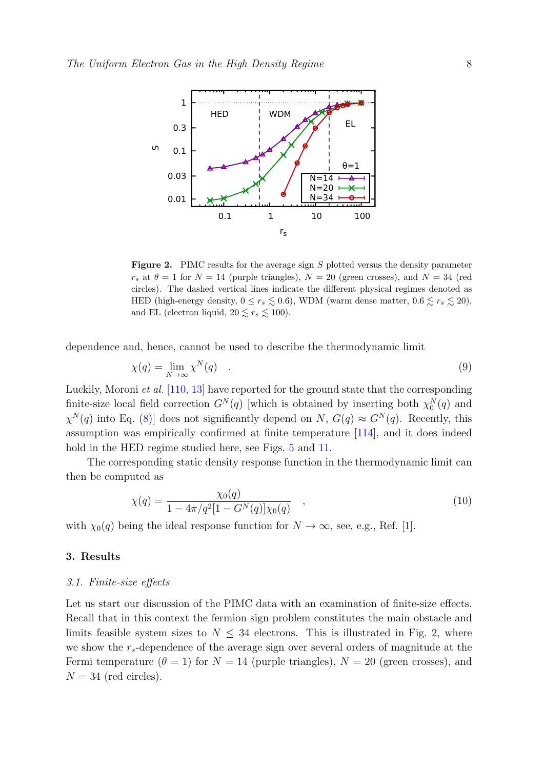

<span id="page-7-2"></span>Figure 2. PIMC results for the average sign S plotted versus the density parameter  $r_s$  at  $\theta = 1$  for  $N = 14$  (purple triangles),  $N = 20$  (green crosses), and  $N = 34$  (red circles). The dashed vertical lines indicate the different physical regimes denoted as HED (high-energy density,  $0 \le r_s \le 0.6$ ), WDM (warm dense matter,  $0.6 \le r_s \le 20$ ), and EL (electron liquid,  $20 \lesssim r_s \lesssim 100$ ).

dependence and, hence, cannot be used to describe the thermodynamic limit

$$
\chi(q) = \lim_{N \to \infty} \chi^N(q) \quad . \tag{9}
$$

Luckily, Moroni et al. [\[110,](#page-27-5) [13\]](#page-22-12) have reported for the ground state that the corresponding finite-size local field correction  $G^N(q)$  [which is obtained by inserting both  $\chi_0^N(q)$  and  $\chi^{N}(q)$  into Eq. [\(8\)](#page-6-3) does not significantly depend on N,  $G(q) \approx G^{N}(q)$ . Recently, this assumption was empirically confirmed at finite temperature [\[114\]](#page-27-9), and it does indeed hold in the HED regime studied here, see Figs. [5](#page-10-0) and [11.](#page-17-0)

The corresponding static density response function in the thermodynamic limit can then be computed as

<span id="page-7-3"></span>
$$
\chi(q) = \frac{\chi_0(q)}{1 - 4\pi/q^2[1 - G^N(q)]\chi_0(q)} \quad , \tag{10}
$$

with  $\chi_0(q)$  being the ideal response function for  $N \to \infty$ , see, e.g., Ref. [\[1\]](#page-22-0).

# <span id="page-7-0"></span>3. Results

#### <span id="page-7-1"></span>3.1. Finite-size effects

Let us start our discussion of the PIMC data with an examination of finite-size effects. Recall that in this context the fermion sign problem constitutes the main obstacle and limits feasible system sizes to  $N \leq 34$  electrons. This is illustrated in Fig. [2,](#page-7-2) where we show the  $r_{s}$ -dependence of the average sign over several orders of magnitude at the Fermi temperature ( $\theta = 1$ ) for  $N = 14$  (purple triangles),  $N = 20$  (green crosses), and  $N = 34$  (red circles).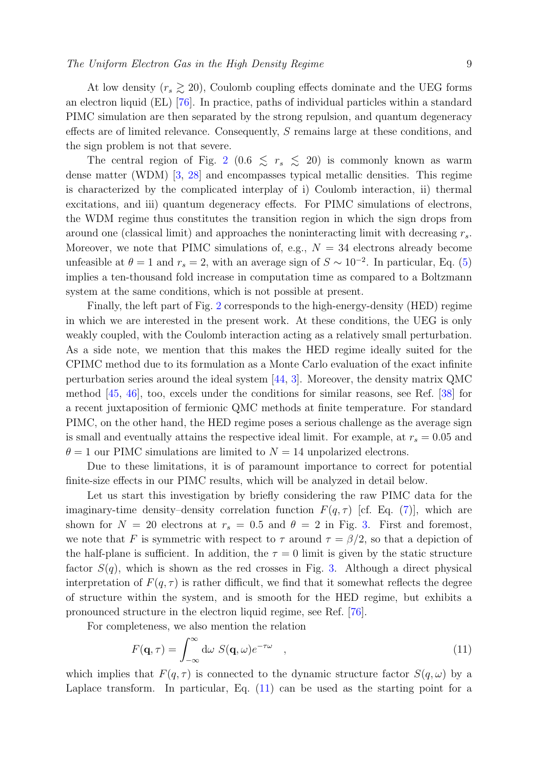At low density  $(r_s \geq 20)$ , Coulomb coupling effects dominate and the UEG forms an electron liquid (EL) [\[76\]](#page-25-17). In practice, paths of individual particles within a standard PIMC simulation are then separated by the strong repulsion, and quantum degeneracy effects are of limited relevance. Consequently, S remains large at these conditions, and the sign problem is not that severe.

The central region of Fig. [2](#page-7-2) (0.6  $\lesssim r_s \lesssim 20$ ) is commonly known as warm dense matter (WDM) [\[3,](#page-22-2) [28\]](#page-23-12) and encompasses typical metallic densities. This regime is characterized by the complicated interplay of i) Coulomb interaction, ii) thermal excitations, and iii) quantum degeneracy effects. For PIMC simulations of electrons, the WDM regime thus constitutes the transition region in which the sign drops from around one (classical limit) and approaches the noninteracting limit with decreasing  $r_s$ . Moreover, we note that PIMC simulations of, e.g.,  $N = 34$  electrons already become unfeasible at  $\theta = 1$  and  $r_s = 2$ , with an average sign of  $S \sim 10^{-2}$ . In particular, Eq. [\(5\)](#page-5-1) implies a ten-thousand fold increase in computation time as compared to a Boltzmann system at the same conditions, which is not possible at present.

Finally, the left part of Fig. [2](#page-7-2) corresponds to the high-energy-density (HED) regime in which we are interested in the present work. At these conditions, the UEG is only weakly coupled, with the Coulomb interaction acting as a relatively small perturbation. As a side note, we mention that this makes the HED regime ideally suited for the CPIMC method due to its formulation as a Monte Carlo evaluation of the exact infinite perturbation series around the ideal system [\[44,](#page-24-4) [3\]](#page-22-2). Moreover, the density matrix QMC method [\[45,](#page-24-5) [46\]](#page-24-6), too, excels under the conditions for similar reasons, see Ref. [\[38\]](#page-23-22) for a recent juxtaposition of fermionic QMC methods at finite temperature. For standard PIMC, on the other hand, the HED regime poses a serious challenge as the average sign is small and eventually attains the respective ideal limit. For example, at  $r_s = 0.05$  and  $\theta = 1$  our PIMC simulations are limited to  $N = 14$  unpolarized electrons.

Due to these limitations, it is of paramount importance to correct for potential finite-size effects in our PIMC results, which will be analyzed in detail below.

Let us start this investigation by briefly considering the raw PIMC data for the imaginary-time density-density correlation function  $F(q, \tau)$  [cf. Eq. [\(7\)](#page-6-2)], which are shown for  $N = 20$  electrons at  $r_s = 0.5$  and  $\theta = 2$  in Fig. [3.](#page-9-0) First and foremost, we note that F is symmetric with respect to  $\tau$  around  $\tau = \beta/2$ , so that a depiction of the half-plane is sufficient. In addition, the  $\tau = 0$  limit is given by the static structure factor  $S(q)$ , which is shown as the red crosses in Fig. [3.](#page-9-0) Although a direct physical interpretation of  $F(q, \tau)$  is rather difficult, we find that it somewhat reflects the degree of structure within the system, and is smooth for the HED regime, but exhibits a pronounced structure in the electron liquid regime, see Ref. [\[76\]](#page-25-17).

For completeness, we also mention the relation

<span id="page-8-0"></span>
$$
F(\mathbf{q},\tau) = \int_{-\infty}^{\infty} \mathrm{d}\omega \ S(\mathbf{q},\omega) e^{-\tau\omega} \quad , \tag{11}
$$

which implies that  $F(q, \tau)$  is connected to the dynamic structure factor  $S(q, \omega)$  by a Laplace transform. In particular, Eq. [\(11\)](#page-8-0) can be used as the starting point for a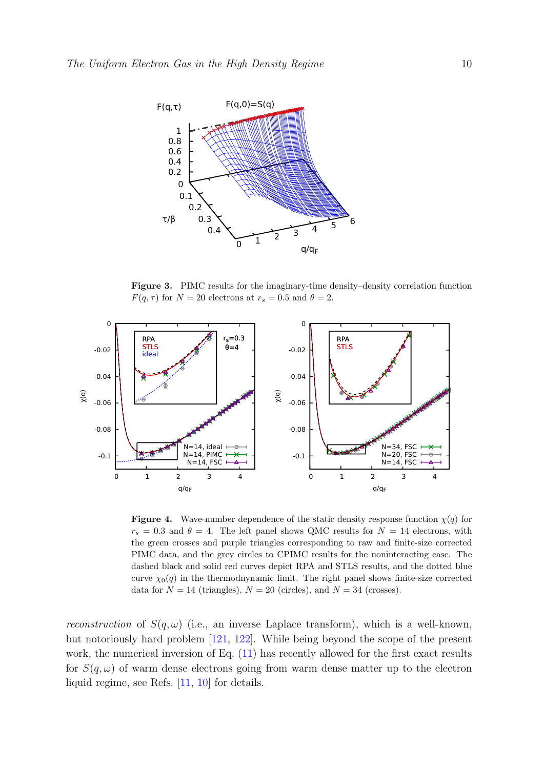

<span id="page-9-0"></span>Figure 3. PIMC results for the imaginary-time density–density correlation function  $F(q, \tau)$  for  $N = 20$  electrons at  $r_s = 0.5$  and  $\theta = 2$ .



<span id="page-9-1"></span>**Figure 4.** Wave-number dependence of the static density response function  $\chi(q)$  for  $r_s = 0.3$  and  $\theta = 4$ . The left panel shows QMC results for  $N = 14$  electrons, with the green crosses and purple triangles corresponding to raw and finite-size corrected PIMC data, and the grey circles to CPIMC results for the noninteracting case. The dashed black and solid red curves depict RPA and STLS results, and the dotted blue curve  $\chi_0(q)$  in the thermodnynamic limit. The right panel shows finite-size corrected data for  $N = 14$  (triangles),  $N = 20$  (circles), and  $N = 34$  (crosses).

reconstruction of  $S(q,\omega)$  (i.e., an inverse Laplace transform), which is a well-known, but notoriously hard problem [\[121,](#page-27-16) [122\]](#page-27-17). While being beyond the scope of the present work, the numerical inversion of Eq.  $(11)$  has recently allowed for the first exact results for  $S(q,\omega)$  of warm dense electrons going from warm dense matter up to the electron liquid regime, see Refs. [\[11,](#page-22-10) [10\]](#page-22-9) for details.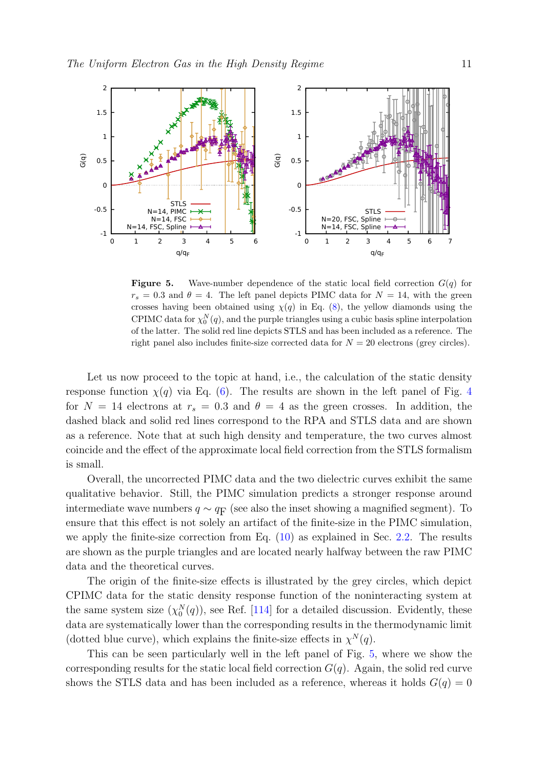

<span id="page-10-0"></span>**Figure 5.** Wave-number dependence of the static local field correction  $G(q)$  for  $r_s = 0.3$  and  $\theta = 4$ . The left panel depicts PIMC data for  $N = 14$ , with the green crosses having been obtained using  $\chi(q)$  in Eq. [\(8\)](#page-6-3), the yellow diamonds using the CPIMC data for  $\chi_0^N(q)$ , and the purple triangles using a cubic basis spline interpolation of the latter. The solid red line depicts STLS and has been included as a reference. The right panel also includes finite-size corrected data for  $N = 20$  electrons (grey circles).

Let us now proceed to the topic at hand, i.e., the calculation of the static density response function  $\chi(q)$  via Eq. [\(6\)](#page-6-1). The results are shown in the left panel of Fig. [4](#page-9-1) for  $N = 14$  electrons at  $r_s = 0.3$  and  $\theta = 4$  as the green crosses. In addition, the dashed black and solid red lines correspond to the RPA and STLS data and are shown as a reference. Note that at such high density and temperature, the two curves almost coincide and the effect of the approximate local field correction from the STLS formalism is small.

Overall, the uncorrected PIMC data and the two dielectric curves exhibit the same qualitative behavior. Still, the PIMC simulation predicts a stronger response around intermediate wave numbers  $q \sim q_F$  (see also the inset showing a magnified segment). To ensure that this effect is not solely an artifact of the finite-size in the PIMC simulation, we apply the finite-size correction from Eq.  $(10)$  as explained in Sec. [2.2.](#page-6-0) The results are shown as the purple triangles and are located nearly halfway between the raw PIMC data and the theoretical curves.

The origin of the finite-size effects is illustrated by the grey circles, which depict CPIMC data for the static density response function of the noninteracting system at the same system size  $(\chi_0^N(q))$ , see Ref. [\[114\]](#page-27-9) for a detailed discussion. Evidently, these data are systematically lower than the corresponding results in the thermodynamic limit (dotted blue curve), which explains the finite-size effects in  $\chi^N(q)$ .

This can be seen particularly well in the left panel of Fig. [5,](#page-10-0) where we show the corresponding results for the static local field correction  $G(q)$ . Again, the solid red curve shows the STLS data and has been included as a reference, whereas it holds  $G(q) = 0$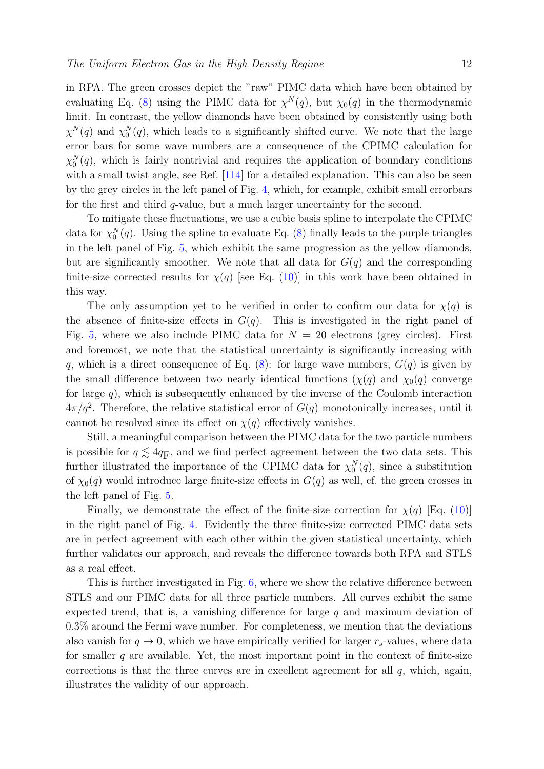in RPA. The green crosses depict the "raw" PIMC data which have been obtained by evaluating Eq. [\(8\)](#page-6-3) using the PIMC data for  $\chi^{N}(q)$ , but  $\chi_{0}(q)$  in the thermodynamic limit. In contrast, the yellow diamonds have been obtained by consistently using both  $\chi^{N}(q)$  and  $\chi_{0}^{N}(q)$ , which leads to a significantly shifted curve. We note that the large error bars for some wave numbers are a consequence of the CPIMC calculation for  $\chi_0^N(q)$ , which is fairly nontrivial and requires the application of boundary conditions with a small twist angle, see Ref. [\[114\]](#page-27-9) for a detailed explanation. This can also be seen by the grey circles in the left panel of Fig. [4,](#page-9-1) which, for example, exhibit small errorbars for the first and third q-value, but a much larger uncertainty for the second.

To mitigate these fluctuations, we use a cubic basis spline to interpolate the CPIMC data for  $\chi_0^N(q)$ . Using the spline to evaluate Eq. [\(8\)](#page-6-3) finally leads to the purple triangles in the left panel of Fig. [5,](#page-10-0) which exhibit the same progression as the yellow diamonds, but are significantly smoother. We note that all data for  $G(q)$  and the corresponding finite-size corrected results for  $\chi(q)$  [see Eq. [\(10\)](#page-7-3)] in this work have been obtained in this way.

The only assumption yet to be verified in order to confirm our data for  $\chi(q)$  is the absence of finite-size effects in  $G(q)$ . This is investigated in the right panel of Fig. [5,](#page-10-0) where we also include PIMC data for  $N = 20$  electrons (grey circles). First and foremost, we note that the statistical uncertainty is significantly increasing with q, which is a direct consequence of Eq.  $(8)$ : for large wave numbers,  $G(q)$  is given by the small difference between two nearly identical functions  $(\chi(q)$  and  $\chi_0(q)$  converge for large  $q$ ), which is subsequently enhanced by the inverse of the Coulomb interaction  $4\pi/q^2$ . Therefore, the relative statistical error of  $G(q)$  monotonically increases, until it cannot be resolved since its effect on  $\chi(q)$  effectively vanishes.

Still, a meaningful comparison between the PIMC data for the two particle numbers is possible for  $q \lesssim 4q<sub>F</sub>$ , and we find perfect agreement between the two data sets. This further illustrated the importance of the CPIMC data for  $\chi_0^N(q)$ , since a substitution of  $\chi_0(q)$  would introduce large finite-size effects in  $G(q)$  as well, cf. the green crosses in the left panel of Fig. [5.](#page-10-0)

Finally, we demonstrate the effect of the finite-size correction for  $\chi(q)$  [Eq. [\(10\)](#page-7-3)] in the right panel of Fig. [4.](#page-9-1) Evidently the three finite-size corrected PIMC data sets are in perfect agreement with each other within the given statistical uncertainty, which further validates our approach, and reveals the difference towards both RPA and STLS as a real effect.

This is further investigated in Fig. [6,](#page-12-0) where we show the relative difference between STLS and our PIMC data for all three particle numbers. All curves exhibit the same expected trend, that is, a vanishing difference for large  $q$  and maximum deviation of 0.3% around the Fermi wave number. For completeness, we mention that the deviations also vanish for  $q \to 0$ , which we have empirically verified for larger  $r_s$ -values, where data for smaller q are available. Yet, the most important point in the context of finite-size corrections is that the three curves are in excellent agreement for all  $q$ , which, again, illustrates the validity of our approach.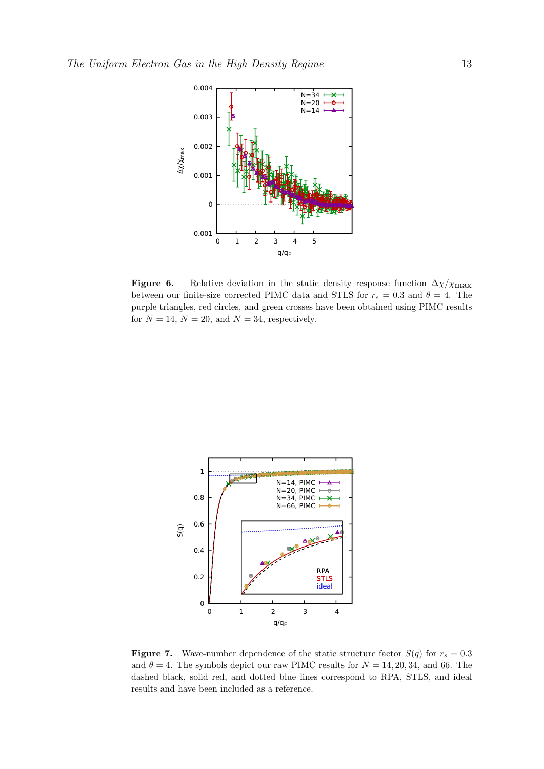

<span id="page-12-0"></span>Figure 6. Relative deviation in the static density response function  $\Delta \chi / \chi_{\rm max}$ between our finite-size corrected PIMC data and STLS for  $r_s = 0.3$  and  $\theta = 4$ . The purple triangles, red circles, and green crosses have been obtained using PIMC results for  $N = 14$ ,  $N = 20$ , and  $N = 34$ , respectively.



<span id="page-12-1"></span>**Figure 7.** Wave-number dependence of the static structure factor  $S(q)$  for  $r_s = 0.3$ and  $\theta = 4$ . The symbols depict our raw PIMC results for  $N = 14, 20, 34$ , and 66. The dashed black, solid red, and dotted blue lines correspond to RPA, STLS, and ideal results and have been included as a reference.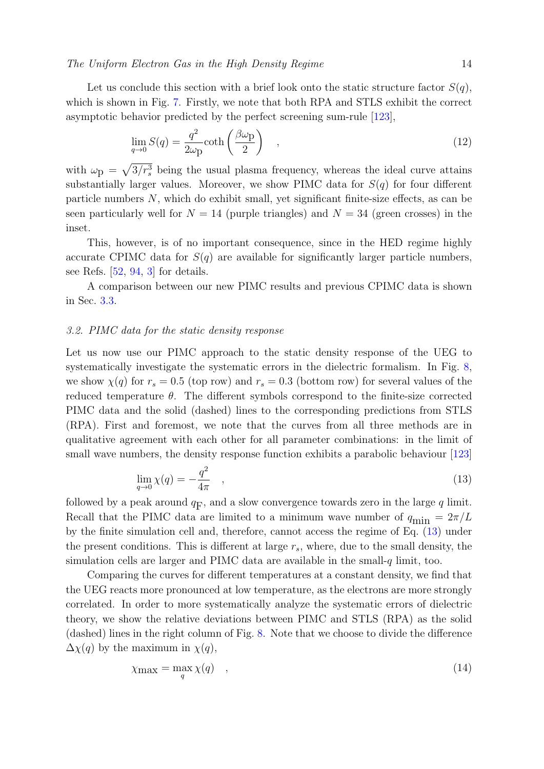#### The Uniform Electron Gas in the High Density Regime 14

Let us conclude this section with a brief look onto the static structure factor  $S(q)$ , which is shown in Fig. [7.](#page-12-1) Firstly, we note that both RPA and STLS exhibit the correct asymptotic behavior predicted by the perfect screening sum-rule [\[123\]](#page-27-18),

$$
\lim_{q \to 0} S(q) = \frac{q^2}{2\omega \rho} \coth\left(\frac{\beta \omega p}{2}\right) \quad , \tag{12}
$$

with  $\omega_{\rm p} = \sqrt{3/r_s^3}$  being the usual plasma frequency, whereas the ideal curve attains substantially larger values. Moreover, we show PIMC data for  $S(q)$  for four different particle numbers N, which do exhibit small, yet significant finite-size effects, as can be seen particularly well for  $N = 14$  (purple triangles) and  $N = 34$  (green crosses) in the inset.

This, however, is of no important consequence, since in the HED regime highly accurate CPIMC data for  $S(q)$  are available for significantly larger particle numbers, see Refs. [\[52,](#page-24-12) [94,](#page-26-13) [3\]](#page-22-2) for details.

A comparison between our new PIMC results and previous CPIMC data is shown in Sec. [3.3.](#page-19-0)

## <span id="page-13-0"></span>3.2. PIMC data for the static density response

Let us now use our PIMC approach to the static density response of the UEG to systematically investigate the systematic errors in the dielectric formalism. In Fig. [8,](#page-14-0) we show  $\chi(q)$  for  $r_s = 0.5$  (top row) and  $r_s = 0.3$  (bottom row) for several values of the reduced temperature  $\theta$ . The different symbols correspond to the finite-size corrected PIMC data and the solid (dashed) lines to the corresponding predictions from STLS (RPA). First and foremost, we note that the curves from all three methods are in qualitative agreement with each other for all parameter combinations: in the limit of small wave numbers, the density response function exhibits a parabolic behaviour [\[123\]](#page-27-18)

<span id="page-13-1"></span>
$$
\lim_{q \to 0} \chi(q) = -\frac{q^2}{4\pi} \quad , \tag{13}
$$

followed by a peak around  $q_F$ , and a slow convergence towards zero in the large  $q$  limit. Recall that the PIMC data are limited to a minimum wave number of  $q_{\text{min}} = 2\pi/L$ by the finite simulation cell and, therefore, cannot access the regime of Eq. [\(13\)](#page-13-1) under the present conditions. This is different at large  $r<sub>s</sub>$ , where, due to the small density, the simulation cells are larger and PIMC data are available in the small- $q$  limit, too.

Comparing the curves for different temperatures at a constant density, we find that the UEG reacts more pronounced at low temperature, as the electrons are more strongly correlated. In order to more systematically analyze the systematic errors of dielectric theory, we show the relative deviations between PIMC and STLS (RPA) as the solid (dashed) lines in the right column of Fig. [8.](#page-14-0) Note that we choose to divide the difference  $\Delta \chi(q)$  by the maximum in  $\chi(q)$ ,

$$
\chi_{\text{max}} = \max_{q} \chi(q) \quad , \tag{14}
$$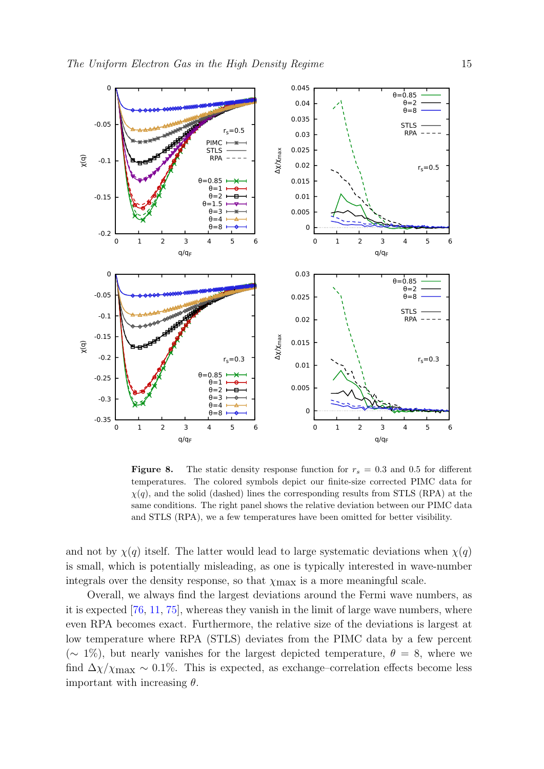

<span id="page-14-0"></span>**Figure 8.** The static density response function for  $r_s = 0.3$  and 0.5 for different temperatures. The colored symbols depict our finite-size corrected PIMC data for  $\chi(q)$ , and the solid (dashed) lines the corresponding results from STLS (RPA) at the same conditions. The right panel shows the relative deviation between our PIMC data and STLS (RPA), we a few temperatures have been omitted for better visibility.

and not by  $\chi(q)$  itself. The latter would lead to large systematic deviations when  $\chi(q)$ is small, which is potentially misleading, as one is typically interested in wave-number integrals over the density response, so that  $\chi_{\text{max}}$  is a more meaningful scale.

Overall, we always find the largest deviations around the Fermi wave numbers, as it is expected [\[76,](#page-25-17) [11,](#page-22-10) [75\]](#page-25-15), whereas they vanish in the limit of large wave numbers, where even RPA becomes exact. Furthermore, the relative size of the deviations is largest at low temperature where RPA (STLS) deviates from the PIMC data by a few percent ( $\sim$  1%), but nearly vanishes for the largest depicted temperature,  $\theta = 8$ , where we find  $\Delta\chi/\chi_{\rm max} \sim 0.1\%$ . This is expected, as exchange–correlation effects become less important with increasing  $\theta$ .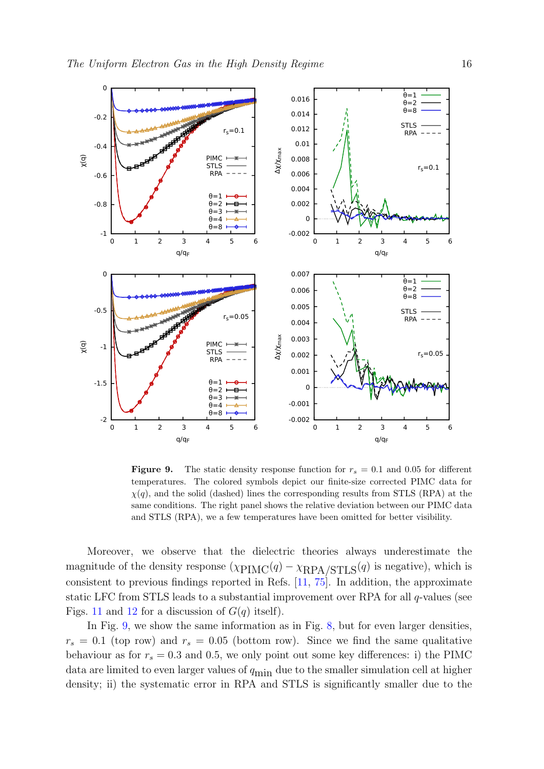

<span id="page-15-0"></span>**Figure 9.** The static density response function for  $r_s = 0.1$  and 0.05 for different temperatures. The colored symbols depict our finite-size corrected PIMC data for  $\chi(q)$ , and the solid (dashed) lines the corresponding results from STLS (RPA) at the same conditions. The right panel shows the relative deviation between our PIMC data and STLS (RPA), we a few temperatures have been omitted for better visibility.

Moreover, we observe that the dielectric theories always underestimate the magnitude of the density response  $(\chi_{\text{PIMC}}(q) - \chi_{\text{RPA}}/\text{STLS}(q))$  is negative), which is consistent to previous findings reported in Refs. [\[11,](#page-22-10) [75\]](#page-25-15). In addition, the approximate static LFC from STLS leads to a substantial improvement over RPA for all q-values (see Figs. [11](#page-17-0) and [12](#page-18-0) for a discussion of  $G(q)$  itself).

In Fig. [9,](#page-15-0) we show the same information as in Fig. [8,](#page-14-0) but for even larger densities,  $r_s = 0.1$  (top row) and  $r_s = 0.05$  (bottom row). Since we find the same qualitative behaviour as for  $r_s = 0.3$  and 0.5, we only point out some key differences: i) the PIMC data are limited to even larger values of  $q_{\rm min}$  due to the smaller simulation cell at higher density; ii) the systematic error in RPA and STLS is significantly smaller due to the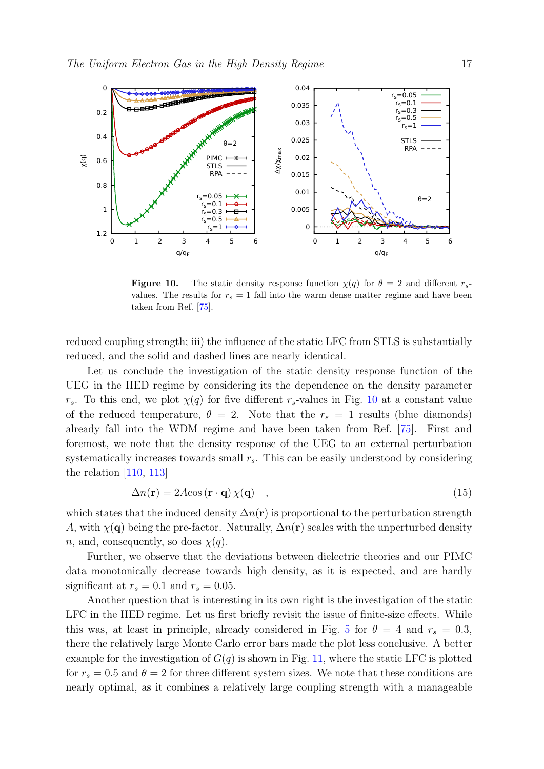

<span id="page-16-0"></span>**Figure 10.** The static density response function  $\chi(q)$  for  $\theta = 2$  and different  $r_s$ values. The results for  $r_s = 1$  fall into the warm dense matter regime and have been taken from Ref. [\[75\]](#page-25-15).

reduced coupling strength; iii) the influence of the static LFC from STLS is substantially reduced, and the solid and dashed lines are nearly identical.

Let us conclude the investigation of the static density response function of the UEG in the HED regime by considering its the dependence on the density parameter  $r_s$ . To this end, we plot  $\chi(q)$  for five different  $r_s$ -values in Fig. [10](#page-16-0) at a constant value of the reduced temperature,  $\theta = 2$ . Note that the  $r_s = 1$  results (blue diamonds) already fall into the WDM regime and have been taken from Ref. [\[75\]](#page-25-15). First and foremost, we note that the density response of the UEG to an external perturbation systematically increases towards small  $r_s$ . This can be easily understood by considering the relation [\[110,](#page-27-5) [113\]](#page-27-8)

$$
\Delta n(\mathbf{r}) = 2A\cos(\mathbf{r} \cdot \mathbf{q}) \chi(\mathbf{q}) \quad , \tag{15}
$$

which states that the induced density  $\Delta n(\mathbf{r})$  is proportional to the perturbation strength A, with  $\chi(\mathbf{q})$  being the pre-factor. Naturally,  $\Delta n(\mathbf{r})$  scales with the unperturbed density n, and, consequently, so does  $\chi(q)$ .

Further, we observe that the deviations between dielectric theories and our PIMC data monotonically decrease towards high density, as it is expected, and are hardly significant at  $r_s = 0.1$  and  $r_s = 0.05$ .

Another question that is interesting in its own right is the investigation of the static LFC in the HED regime. Let us first briefly revisit the issue of finite-size effects. While this was, at least in principle, already considered in Fig. [5](#page-10-0) for  $\theta = 4$  and  $r_s = 0.3$ , there the relatively large Monte Carlo error bars made the plot less conclusive. A better example for the investigation of  $G(q)$  is shown in Fig. [11,](#page-17-0) where the static LFC is plotted for  $r_s = 0.5$  and  $\theta = 2$  for three different system sizes. We note that these conditions are nearly optimal, as it combines a relatively large coupling strength with a manageable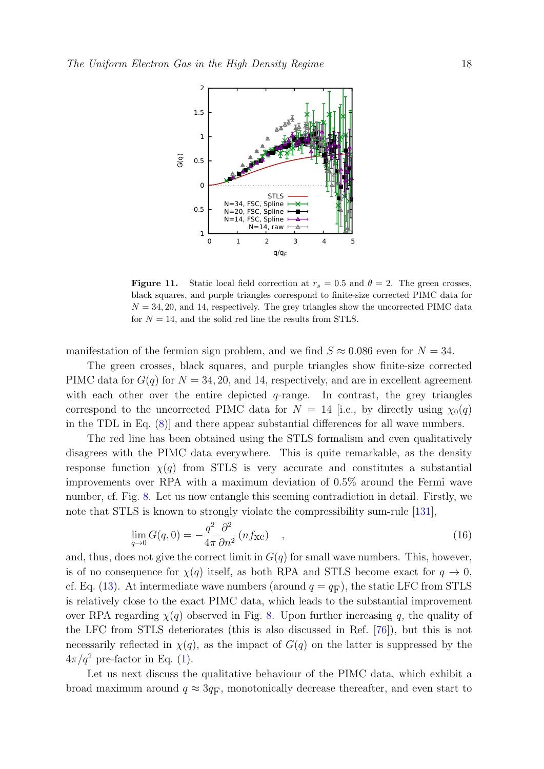

<span id="page-17-0"></span>**Figure 11.** Static local field correction at  $r_s = 0.5$  and  $\theta = 2$ . The green crosses, black squares, and purple triangles correspond to finite-size corrected PIMC data for  $N = 34, 20$ , and 14, respectively. The grey triangles show the uncorrected PIMC data for  $N = 14$ , and the solid red line the results from STLS.

manifestation of the fermion sign problem, and we find  $S \approx 0.086$  even for  $N = 34$ .

The green crosses, black squares, and purple triangles show finite-size corrected PIMC data for  $G(q)$  for  $N = 34, 20$ , and 14, respectively, and are in excellent agreement with each other over the entire depicted  $q$ -range. In contrast, the grey triangles correspond to the uncorrected PIMC data for  $N = 14$  [i.e., by directly using  $\chi_0(q)$ in the TDL in Eq. [\(8\)](#page-6-3)] and there appear substantial differences for all wave numbers.

The red line has been obtained using the STLS formalism and even qualitatively disagrees with the PIMC data everywhere. This is quite remarkable, as the density response function  $\chi(q)$  from STLS is very accurate and constitutes a substantial improvements over RPA with a maximum deviation of 0.5% around the Fermi wave number, cf. Fig. [8.](#page-14-0) Let us now entangle this seeming contradiction in detail. Firstly, we note that STLS is known to strongly violate the compressibility sum-rule [\[131\]](#page-25-19),

$$
\lim_{q \to 0} G(q, 0) = -\frac{q^2}{4\pi} \frac{\partial^2}{\partial n^2} (nf_{\text{XC}}) \quad , \tag{16}
$$

and, thus, does not give the correct limit in  $G(q)$  for small wave numbers. This, however, is of no consequence for  $\chi(q)$  itself, as both RPA and STLS become exact for  $q \to 0$ , cf. Eq. [\(13\)](#page-13-1). At intermediate wave numbers (around  $q = q<sub>F</sub>$ ), the static LFC from STLS is relatively close to the exact PIMC data, which leads to the substantial improvement over RPA regarding  $\chi(q)$  observed in Fig. [8.](#page-14-0) Upon further increasing q, the quality of the LFC from STLS deteriorates (this is also discussed in Ref. [\[76\]](#page-25-17)), but this is not necessarily reflected in  $\chi(q)$ , as the impact of  $G(q)$  on the latter is suppressed by the  $4\pi/q^2$  pre-factor in Eq. [\(1\)](#page-2-0).

Let us next discuss the qualitative behaviour of the PIMC data, which exhibit a broad maximum around  $q \approx 3q$ <sub>F</sub>, monotonically decrease thereafter, and even start to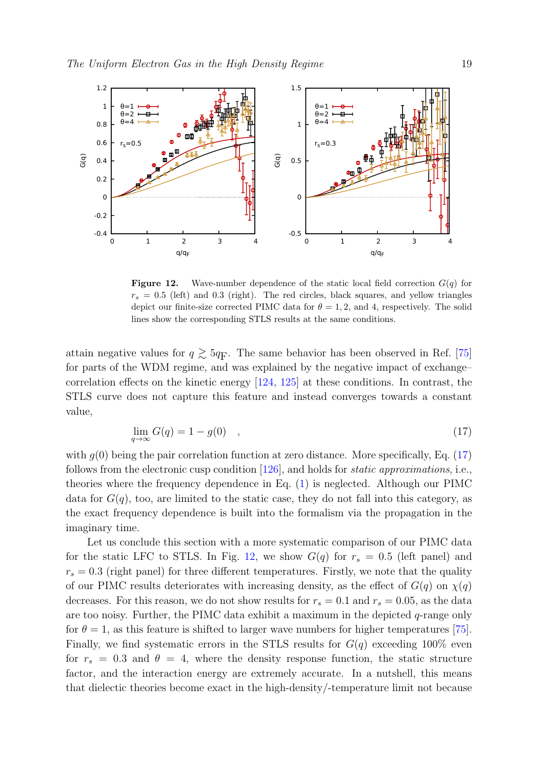

<span id="page-18-0"></span>**Figure 12.** Wave-number dependence of the static local field correction  $G(q)$  for  $r_s = 0.5$  (left) and 0.3 (right). The red circles, black squares, and yellow triangles depict our finite-size corrected PIMC data for  $\theta = 1, 2$ , and 4, respectively. The solid lines show the corresponding STLS results at the same conditions.

attain negative values for  $q \gtrsim 5q$ . The same behavior has been observed in Ref. [\[75\]](#page-25-15) for parts of the WDM regime, and was explained by the negative impact of exchange– correlation effects on the kinetic energy [\[124,](#page-27-19) [125\]](#page-27-20) at these conditions. In contrast, the STLS curve does not capture this feature and instead converges towards a constant value,

<span id="page-18-1"></span>
$$
\lim_{q \to \infty} G(q) = 1 - g(0) \quad , \tag{17}
$$

with  $q(0)$  being the pair correlation function at zero distance. More specifically, Eq. [\(17\)](#page-18-1) follows from the electronic cusp condition [\[126\]](#page-27-21), and holds for static approximations, i.e., theories where the frequency dependence in Eq. [\(1\)](#page-2-0) is neglected. Although our PIMC data for  $G(q)$ , too, are limited to the static case, they do not fall into this category, as the exact frequency dependence is built into the formalism via the propagation in the imaginary time.

Let us conclude this section with a more systematic comparison of our PIMC data for the static LFC to STLS. In Fig. [12,](#page-18-0) we show  $G(q)$  for  $r_s = 0.5$  (left panel) and  $r_s = 0.3$  (right panel) for three different temperatures. Firstly, we note that the quality of our PIMC results deteriorates with increasing density, as the effect of  $G(q)$  on  $\chi(q)$ decreases. For this reason, we do not show results for  $r_s = 0.1$  and  $r_s = 0.05$ , as the data are too noisy. Further, the PIMC data exhibit a maximum in the depicted q-range only for  $\theta = 1$ , as this feature is shifted to larger wave numbers for higher temperatures [\[75\]](#page-25-15). Finally, we find systematic errors in the STLS results for  $G(q)$  exceeding 100% even for  $r_s = 0.3$  and  $\theta = 4$ , where the density response function, the static structure factor, and the interaction energy are extremely accurate. In a nutshell, this means that dielectic theories become exact in the high-density/-temperature limit not because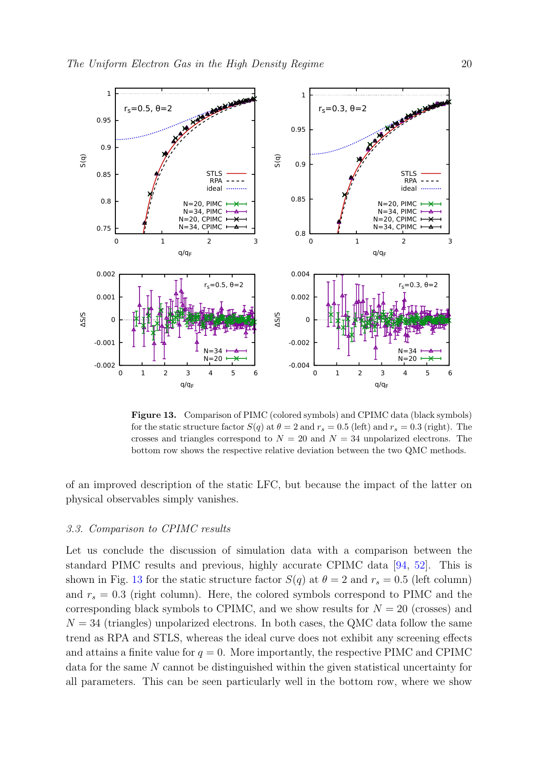

<span id="page-19-1"></span>Figure 13. Comparison of PIMC (colored symbols) and CPIMC data (black symbols) for the static structure factor  $S(q)$  at  $\theta = 2$  and  $r_s = 0.5$  (left) and  $r_s = 0.3$  (right). The crosses and triangles correspond to  $N = 20$  and  $N = 34$  unpolarized electrons. The bottom row shows the respective relative deviation between the two QMC methods.

of an improved description of the static LFC, but because the impact of the latter on physical observables simply vanishes.

## <span id="page-19-0"></span>3.3. Comparison to CPIMC results

Let us conclude the discussion of simulation data with a comparison between the standard PIMC results and previous, highly accurate CPIMC data [\[94,](#page-26-13) [52\]](#page-24-12). This is shown in Fig. [13](#page-19-1) for the static structure factor  $S(q)$  at  $\theta = 2$  and  $r_s = 0.5$  (left column) and  $r_s = 0.3$  (right column). Here, the colored symbols correspond to PIMC and the corresponding black symbols to CPIMC, and we show results for  $N = 20$  (crosses) and  $N = 34$  (triangles) unpolarized electrons. In both cases, the QMC data follow the same trend as RPA and STLS, whereas the ideal curve does not exhibit any screening effects and attains a finite value for  $q = 0$ . More importantly, the respective PIMC and CPIMC data for the same N cannot be distinguished within the given statistical uncertainty for all parameters. This can be seen particularly well in the bottom row, where we show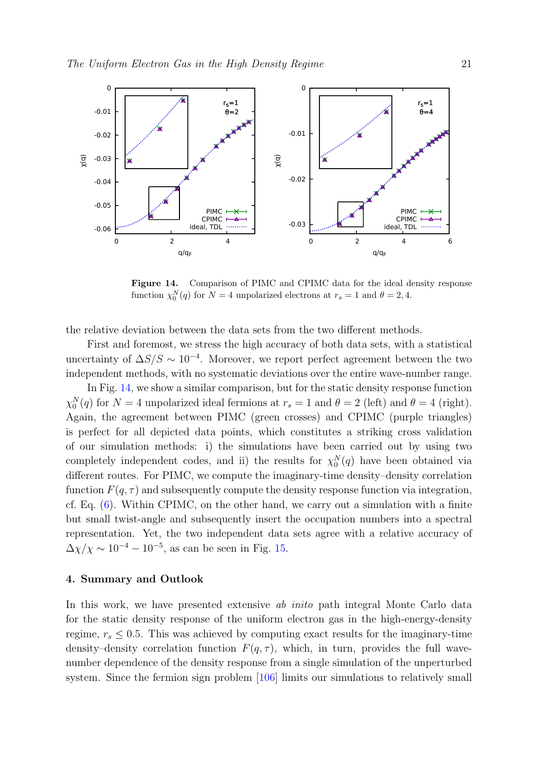

<span id="page-20-1"></span>Figure 14. Comparison of PIMC and CPIMC data for the ideal density response function  $\chi_0^N(q)$  for  $N=4$  unpolarized electrons at  $r_s=1$  and  $\theta=2,4$ .

the relative deviation between the data sets from the two different methods.

First and foremost, we stress the high accuracy of both data sets, with a statistical uncertainty of  $\Delta S/S \sim 10^{-4}$ . Moreover, we report perfect agreement between the two independent methods, with no systematic deviations over the entire wave-number range.

In Fig. [14,](#page-20-1) we show a similar comparison, but for the static density response function  $\chi_0^N(q)$  for  $N=4$  unpolarized ideal fermions at  $r_s=1$  and  $\theta=2$  (left) and  $\theta=4$  (right). Again, the agreement between PIMC (green crosses) and CPIMC (purple triangles) is perfect for all depicted data points, which constitutes a striking cross validation of our simulation methods: i) the simulations have been carried out by using two completely independent codes, and ii) the results for  $\chi_0^N(q)$  have been obtained via different routes. For PIMC, we compute the imaginary-time density–density correlation function  $F(q, \tau)$  and subsequently compute the density response function via integration, cf. Eq. [\(6\)](#page-6-1). Within CPIMC, on the other hand, we carry out a simulation with a finite but small twist-angle and subsequently insert the occupation numbers into a spectral representation. Yet, the two independent data sets agree with a relative accuracy of  $\Delta\chi/\chi \sim 10^{-4} - 10^{-5}$ , as can be seen in Fig. [15.](#page-21-0)

## <span id="page-20-0"></span>4. Summary and Outlook

In this work, we have presented extensive ab inito path integral Monte Carlo data for the static density response of the uniform electron gas in the high-energy-density regime,  $r_s \leq 0.5$ . This was achieved by computing exact results for the imaginary-time density–density correlation function  $F(q, \tau)$ , which, in turn, provides the full wavenumber dependence of the density response from a single simulation of the unperturbed system. Since the fermion sign problem [\[106\]](#page-27-0) limits our simulations to relatively small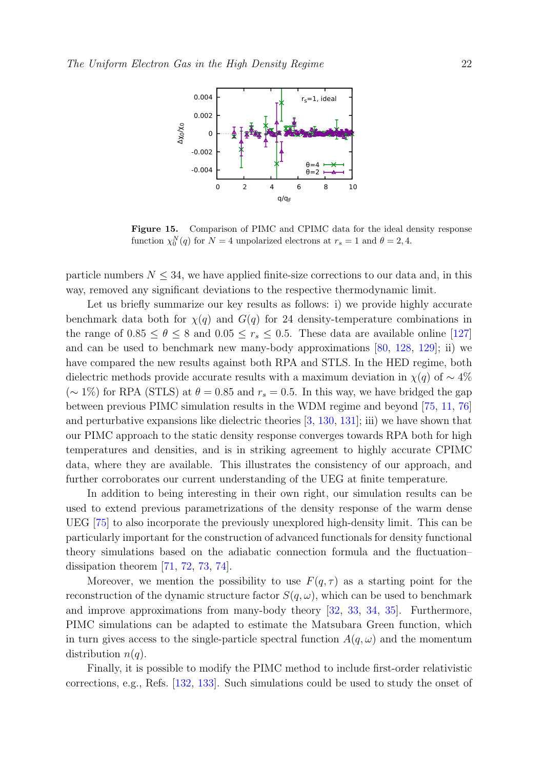

<span id="page-21-0"></span>Figure 15. Comparison of PIMC and CPIMC data for the ideal density response function  $\chi_0^N(q)$  for  $N=4$  unpolarized electrons at  $r_s=1$  and  $\theta=2,4$ .

particle numbers  $N \leq 34$ , we have applied finite-size corrections to our data and, in this way, removed any significant deviations to the respective thermodynamic limit.

Let us briefly summarize our key results as follows: i) we provide highly accurate benchmark data both for  $\chi(q)$  and  $G(q)$  for 24 density-temperature combinations in the range of  $0.85 \le \theta \le 8$  and  $0.05 \le r_s \le 0.5$ . These data are available online [\[127\]](#page-27-22) and can be used to benchmark new many-body approximations [\[80,](#page-25-20) [128,](#page-28-0) [129\]](#page-28-1); ii) we have compared the new results against both RPA and STLS. In the HED regime, both dielectric methods provide accurate results with a maximum deviation in  $\chi(q)$  of ~ 4%  $({\sim} 1\%)$  for RPA (STLS) at  $\theta = 0.85$  and  $r_s = 0.5$ . In this way, we have bridged the gap between previous PIMC simulation results in the WDM regime and beyond [\[75,](#page-25-15) [11,](#page-22-10) [76\]](#page-25-17) and perturbative expansions like dielectric theories [\[3,](#page-22-2) [130,](#page-25-18) [131\]](#page-25-19); iii) we have shown that our PIMC approach to the static density response converges towards RPA both for high temperatures and densities, and is in striking agreement to highly accurate CPIMC data, where they are available. This illustrates the consistency of our approach, and further corroborates our current understanding of the UEG at finite temperature.

In addition to being interesting in their own right, our simulation results can be used to extend previous parametrizations of the density response of the warm dense UEG [\[75\]](#page-25-15) to also incorporate the previously unexplored high-density limit. This can be particularly important for the construction of advanced functionals for density functional theory simulations based on the adiabatic connection formula and the fluctuation– dissipation theorem [\[71,](#page-25-11) [72,](#page-25-12) [73,](#page-25-13) [74\]](#page-25-14).

Moreover, we mention the possibility to use  $F(q, \tau)$  as a starting point for the reconstruction of the dynamic structure factor  $S(q,\omega)$ , which can be used to benchmark and improve approximations from many-body theory [\[32,](#page-23-16) [33,](#page-23-17) [34,](#page-23-18) [35\]](#page-23-19). Furthermore, PIMC simulations can be adapted to estimate the Matsubara Green function, which in turn gives access to the single-particle spectral function  $A(q,\omega)$  and the momentum distribution  $n(q)$ .

Finally, it is possible to modify the PIMC method to include first-order relativistic corrections, e.g., Refs. [\[132,](#page-28-2) [133\]](#page-28-3). Such simulations could be used to study the onset of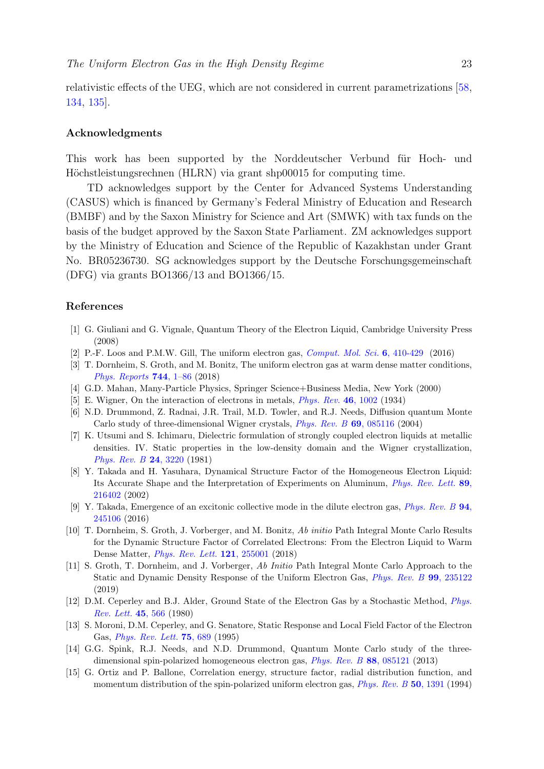relativistic effects of the UEG, which are not considered in current parametrizations [\[58,](#page-24-18) [134,](#page-28-4) [135\]](#page-28-5).

## Acknowledgments

This work has been supported by the Norddeutscher Verbund für Hoch- und Höchstleistungsrechnen (HLRN) via grant shp00015 for computing time.

TD acknowledges support by the Center for Advanced Systems Understanding (CASUS) which is financed by Germany's Federal Ministry of Education and Research (BMBF) and by the Saxon Ministry for Science and Art (SMWK) with tax funds on the basis of the budget approved by the Saxon State Parliament. ZM acknowledges support by the Ministry of Education and Science of the Republic of Kazakhstan under Grant No. BR05236730. SG acknowledges support by the Deutsche Forschungsgemeinschaft (DFG) via grants BO1366/13 and BO1366/15.

# References

- <span id="page-22-0"></span>[1] G. Giuliani and G. Vignale, Quantum Theory of the Electron Liquid, Cambridge University Press (2008)
- <span id="page-22-1"></span>[2] P.-F. Loos and P.M.W. Gill, The uniform electron gas, [Comput. Mol. Sci.](http://onlinelibrary.wiley.com/doi/10.1002/wcms.1257/abstract) 6, 410-429 (2016)
- <span id="page-22-2"></span>[3] T. Dornheim, S. Groth, and M. Bonitz, The uniform electron gas at warm dense matter conditions, [Phys. Reports](https://www.sciencedirect.com/science/article/abs/pii/S0370157318300516) 744, 1–86 (2018)
- <span id="page-22-3"></span>[4] G.D. Mahan, Many-Particle Physics, Springer Science+Business Media, New York (2000)
- <span id="page-22-4"></span>[5] E. Wigner, On the interaction of electrons in metals, [Phys. Rev.](https://journals.aps.org/pr/abstract/10.1103/PhysRev.46.1002) 46, 1002 (1934)
- <span id="page-22-5"></span>[6] N.D. Drummond, Z. Radnai, J.R. Trail, M.D. Towler, and R.J. Needs, Diffusion quantum Monte Carlo study of three-dimensional Wigner crystals, [Phys. Rev. B](https://journals.aps.org/prb/abstract/10.1103/PhysRevB.69.085116) 69, 085116 (2004)
- <span id="page-22-6"></span>[7] K. Utsumi and S. Ichimaru, Dielectric formulation of strongly coupled electron liquids at metallic densities. IV. Static properties in the low-density domain and the Wigner crystallization, [Phys. Rev. B](https://journals.aps.org/prb/abstract/10.1103/PhysRevB.24.3220) 24, 3220 (1981)
- <span id="page-22-7"></span>[8] Y. Takada and H. Yasuhara, Dynamical Structure Factor of the Homogeneous Electron Liquid: Its Accurate Shape and the Interpretation of Experiments on Aluminum, [Phys. Rev. Lett.](https://journals.aps.org/prl/abstract/10.1103/PhysRevLett.89.216402) 89, [216402](https://journals.aps.org/prl/abstract/10.1103/PhysRevLett.89.216402) (2002)
- <span id="page-22-8"></span>[9] Y. Takada, Emergence of an excitonic collective mode in the dilute electron gas, [Phys. Rev. B](https://journals.aps.org/prb/abstract/10.1103/PhysRevB.94.245106) 94, [245106](https://journals.aps.org/prb/abstract/10.1103/PhysRevB.94.245106) (2016)
- <span id="page-22-9"></span>[10] T. Dornheim, S. Groth, J. Vorberger, and M. Bonitz, Ab initio Path Integral Monte Carlo Results for the Dynamic Structure Factor of Correlated Electrons: From the Electron Liquid to Warm Dense Matter, [Phys. Rev. Lett.](https://journals.aps.org/prl/abstract/10.1103/PhysRevLett.121.255001) 121, 255001 (2018)
- <span id="page-22-10"></span>[11] S. Groth, T. Dornheim, and J. Vorberger, Ab Initio Path Integral Monte Carlo Approach to the Static and Dynamic Density Response of the Uniform Electron Gas, [Phys. Rev. B](https://link.aps.org/doi/10.1103/PhysRevB.99.235122) 99, 235122 (2019)
- <span id="page-22-11"></span>[12] D.M. Ceperley and B.J. Alder, Ground State of the Electron Gas by a Stochastic Method, [Phys.]( http://link.aps.org/doi/10.1103/PhysRevLett.45.566) [Rev. Lett.]( http://link.aps.org/doi/10.1103/PhysRevLett.45.566) 45, 566 (1980)
- <span id="page-22-12"></span>[13] S. Moroni, D.M. Ceperley, and G. Senatore, Static Response and Local Field Factor of the Electron Gas, [Phys. Rev. Lett.]( http://link.aps.org/doi/10.1103/PhysRevLett.75.689) 75, 689 (1995)
- <span id="page-22-13"></span>[14] G.G. Spink, R.J. Needs, and N.D. Drummond, Quantum Monte Carlo study of the threedimensional spin-polarized homogeneous electron gas, [Phys. Rev. B](https://journals.aps.org/prb/abstract/10.1103/PhysRevB.88.085121) 88, 085121 (2013)
- <span id="page-22-14"></span>[15] G. Ortiz and P. Ballone, Correlation energy, structure factor, radial distribution function, and momentum distribution of the spin-polarized uniform electron gas, *[Phys. Rev. B](https://journals.aps.org/prb/abstract/10.1103/PhysRevB.50.1391)* 50, 1391 (1994)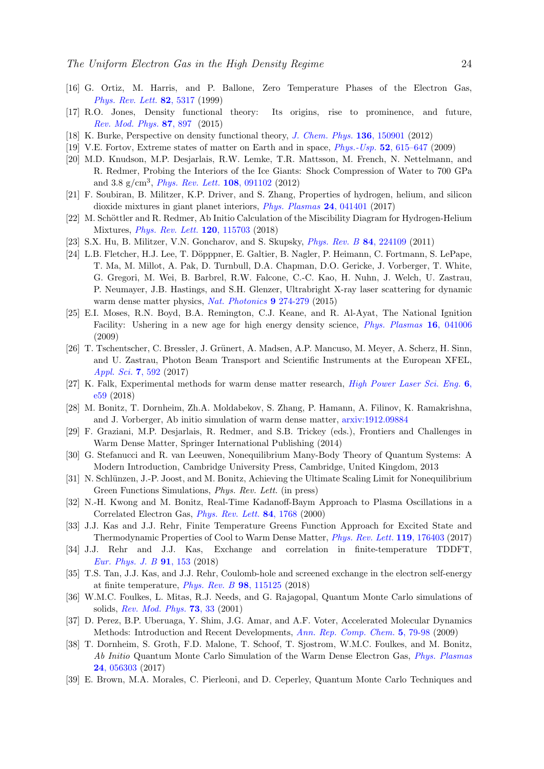- <span id="page-23-0"></span>[16] G. Ortiz, M. Harris, and P. Ballone, Zero Temperature Phases of the Electron Gas, [Phys. Rev. Lett.](https://journals.aps.org/prl/abstract/10.1103/PhysRevLett.82.5317) 82, 5317 (1999)
- <span id="page-23-1"></span>[17] R.O. Jones, Density functional theory: Its origins, rise to prominence, and future, [Rev. Mod. Phys.]( https://journals.aps.org/rmp/abstract/10.1103/RevModPhys.87.897 ) 87, 897 (2015)
- <span id="page-23-2"></span>[18] K. Burke, Perspective on density functional theory, [J. Chem. Phys.](https://aip.scitation.org/doi/10.1063/1.4704546) 136, 150901 (2012)
- <span id="page-23-3"></span>[19] V.E. Fortov, Extreme states of matter on Earth and in space, [Phys.-Usp.](https://www.turpion.org/php/paper.phtml?journal_id=pu&paper_id=6821) 52, 615–647 (2009)
- <span id="page-23-4"></span>[20] M.D. Knudson, M.P. Desjarlais, R.W. Lemke, T.R. Mattsson, M. French, N. Nettelmann, and R. Redmer, Probing the Interiors of the Ice Giants: Shock Compression of Water to 700 GPa and 3.8  $g/cm^3$ , *[Phys. Rev. Lett.](https://journals.aps.org/prl/abstract/10.1103/PhysRevLett.108.091102)* **108**, 091102 (2012)
- <span id="page-23-5"></span>[21] F. Soubiran, B. Militzer, K.P. Driver, and S. Zhang, Properties of hydrogen, helium, and silicon dioxide mixtures in giant planet interiors, [Phys. Plasmas](https://aip.scitation.org/doi/abs/10.1063/1.4978618) 24, 041401 (2017)
- <span id="page-23-6"></span>[22] M. Schöttler and R. Redmer, Ab Initio Calculation of the Miscibility Diagram for Hydrogen-Helium Mixtures, *[Phys. Rev. Lett.](https://journals.aps.org/prl/abstract/10.1103/PhysRevLett.120.115703)* **120**, 115703 (2018)
- <span id="page-23-7"></span>[23] S.X. Hu, B. Militzer, V.N. Goncharov, and S. Skupsky, [Phys. Rev. B](https://journals.aps.org/prb/abstract/10.1103/PhysRevB.84.224109) 84, 224109 (2011)
- <span id="page-23-8"></span>[24] L.B. Fletcher, H.J. Lee, T. Döpppner, E. Galtier, B. Nagler, P. Heimann, C. Fortmann, S. LePape, T. Ma, M. Millot, A. Pak, D. Turnbull, D.A. Chapman, D.O. Gericke, J. Vorberger, T. White, G. Gregori, M. Wei, B. Barbrel, R.W. Falcone, C.-C. Kao, H. Nuhn, J. Welch, U. Zastrau, P. Neumayer, J.B. Hastings, and S.H. Glenzer, Ultrabright X-ray laser scattering for dynamic warm dense matter physics, [Nat. Photonics](https://www.nature.com/articles/nphoton.2015.41) 9 274-279 (2015)
- <span id="page-23-9"></span>[25] E.I. Moses, R.N. Boyd, B.A. Remington, C.J. Keane, and R. Al-Ayat, The National Ignition Facility: Ushering in a new age for high energy density science, *[Phys. Plasmas](https://aip.scitation.org/doi/full/10.1063/1.3116505)* 16, 041006 (2009)
- <span id="page-23-10"></span>[26] T. Tschentscher, C. Bressler, J. Grünert, A. Madsen, A.P. Mancuso, M. Meyer, A. Scherz, H. Sinn, and U. Zastrau, Photon Beam Transport and Scientific Instruments at the European XFEL, [Appl. Sci.](https://www.mdpi.com/2076-3417/7/6/592/htm) 7, 592 (2017)
- <span id="page-23-11"></span>[27] K. Falk, Experimental methods for warm dense matter research, *[High Power Laser Sci. Eng.](https://www.cambridge.org/core/journals/high-power-laser-science-and-engineering/article/experimental-methods-for-warm-dense-matter-research/7205AE1029BEA0061044F84875F1CEDB)* 6, [e59](https://www.cambridge.org/core/journals/high-power-laser-science-and-engineering/article/experimental-methods-for-warm-dense-matter-research/7205AE1029BEA0061044F84875F1CEDB) (2018)
- <span id="page-23-12"></span>[28] M. Bonitz, T. Dornheim, Zh.A. Moldabekov, S. Zhang, P. Hamann, A. Filinov, K. Ramakrishna, and J. Vorberger, Ab initio simulation of warm dense matter, [arxiv:1912.09884](https://arxiv.org/abs/1912.09884)
- <span id="page-23-13"></span>[29] F. Graziani, M.P. Desjarlais, R. Redmer, and S.B. Trickey (eds.), Frontiers and Challenges in Warm Dense Matter, Springer International Publishing (2014)
- <span id="page-23-14"></span>[30] G. Stefanucci and R. van Leeuwen, Nonequilibrium Many-Body Theory of Quantum Systems: A Modern Introduction, Cambridge University Press, Cambridge, United Kingdom, 2013
- <span id="page-23-15"></span>[31] N. Schlünzen, J.-P. Joost, and M. Bonitz, Achieving the Ultimate Scaling Limit for Nonequilibrium Green Functions Simulations, Phys. Rev. Lett. (in press)
- <span id="page-23-16"></span>[32] N.-H. Kwong and M. Bonitz, Real-Time Kadanoff-Baym Approach to Plasma Oscillations in a Correlated Electron Gas, [Phys. Rev. Lett.](https://journals.aps.org/prl/abstract/10.1103/PhysRevLett.84.1768) 84, 1768 (2000)
- <span id="page-23-17"></span>[33] J.J. Kas and J.J. Rehr, Finite Temperature Greens Function Approach for Excited State and Thermodynamic Properties of Cool to Warm Dense Matter, [Phys. Rev. Lett.](https://journals.aps.org/prl/abstract/10.1103/PhysRevLett.119.176403) 119, 176403 (2017)
- <span id="page-23-18"></span>[34] J.J. Rehr and J.J. Kas, Exchange and correlation in finite-temperature TDDFT, [Eur. Phys. J. B](https://link.springer.com/article/10.1140/epjb/e2018-90063-3) 91, 153 (2018)
- <span id="page-23-19"></span>[35] T.S. Tan, J.J. Kas, and J.J. Rehr, Coulomb-hole and screened exchange in the electron self-energy at finite temperature, [Phys. Rev. B](https://journals.aps.org/prb/abstract/10.1103/PhysRevB.98.115125) 98, 115125 (2018)
- <span id="page-23-20"></span>[36] W.M.C. Foulkes, L. Mitas, R.J. Needs, and G. Rajagopal, Quantum Monte Carlo simulations of solids, [Rev. Mod. Phys.](https://journals.aps.org/rmp/abstract/10.1103/RevModPhys.73.33) 73, 33 (2001)
- <span id="page-23-21"></span>[37] D. Perez, B.P. Uberuaga, Y. Shim, J.G. Amar, and A.F. Voter, Accelerated Molecular Dynamics Methods: Introduction and Recent Developments, [Ann. Rep. Comp. Chem.](https://www.sciencedirect.com/science/article/pii/S1574140009005040) 5, 79-98 (2009)
- <span id="page-23-22"></span>[38] T. Dornheim, S. Groth, F.D. Malone, T. Schoof, T. Sjostrom, W.M.C. Foulkes, and M. Bonitz, Ab Initio Quantum Monte Carlo Simulation of the Warm Dense Electron Gas, *[Phys. Plasmas]( http://aip.scitation.org/doi/full/10.1063/1.4977920)* 24[, 056303]( http://aip.scitation.org/doi/full/10.1063/1.4977920) (2017)
- <span id="page-23-23"></span>[39] E. Brown, M.A. Morales, C. Pierleoni, and D. Ceperley, Quantum Monte Carlo Techniques and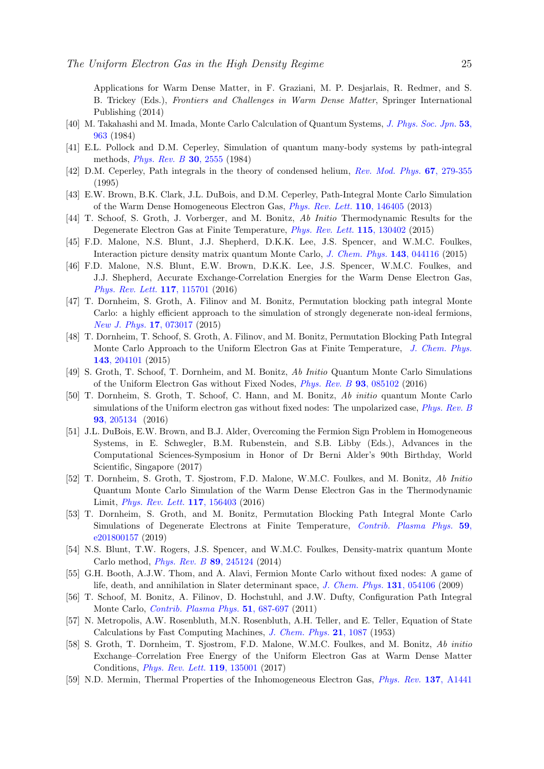Applications for Warm Dense Matter, in F. Graziani, M. P. Desjarlais, R. Redmer, and S. B. Trickey (Eds.), Frontiers and Challenges in Warm Dense Matter, Springer International Publishing (2014)

- <span id="page-24-0"></span>[40] M. Takahashi and M. Imada, Monte Carlo Calculation of Quantum Systems, [J. Phys. Soc. Jpn.](https://www.jstage.jst.go.jp/article/jpsj1946/53/3/53_3_963/_article/-char/ja/) 53, [963](https://www.jstage.jst.go.jp/article/jpsj1946/53/3/53_3_963/_article/-char/ja/) (1984)
- <span id="page-24-1"></span>[41] E.L. Pollock and D.M. Ceperley, Simulation of quantum many-body systems by path-integral methods, [Phys. Rev. B](https://journals.aps.org/prb/abstract/10.1103/PhysRevB.30.2555) 30, 2555 (1984)
- <span id="page-24-2"></span>[42] D.M. Ceperley, Path integrals in the theory of condensed helium, [Rev. Mod. Phys.](http://link.aps.org/doi/10.1103/RevModPhys.67.279) 67, 279-355 (1995)
- <span id="page-24-3"></span>[43] E.W. Brown, B.K. Clark, J.L. DuBois, and D.M. Ceperley, Path-Integral Monte Carlo Simulation of the Warm Dense Homogeneous Electron Gas, [Phys. Rev. Lett.](https://journals.aps.org/prl/abstract/10.1103/PhysRevLett.110.146405) 110, 146405 (2013)
- <span id="page-24-4"></span>[44] T. Schoof, S. Groth, J. Vorberger, and M. Bonitz, Ab Initio Thermodynamic Results for the Degenerate Electron Gas at Finite Temperature, [Phys. Rev. Lett.](https://journals.aps.org/prl/abstract/10.1103/PhysRevLett.115.130402) 115, 130402 (2015)
- <span id="page-24-5"></span>[45] F.D. Malone, N.S. Blunt, J.J. Shepherd, D.K.K. Lee, J.S. Spencer, and W.M.C. Foulkes, Interaction picture density matrix quantum Monte Carlo, [J. Chem. Phys.](https://aip.scitation.org/doi/abs/10.1063/1.4927434) 143, 044116 (2015)
- <span id="page-24-6"></span>[46] F.D. Malone, N.S. Blunt, E.W. Brown, D.K.K. Lee, J.S. Spencer, W.M.C. Foulkes, and J.J. Shepherd, Accurate Exchange-Correlation Energies for the Warm Dense Electron Gas, [Phys. Rev. Lett.](https://journals.aps.org/prl/abstract/10.1103/PhysRevLett.117.115701) 117, 115701 (2016)
- <span id="page-24-7"></span>[47] T. Dornheim, S. Groth, A. Filinov and M. Bonitz, Permutation blocking path integral Monte Carlo: a highly efficient approach to the simulation of strongly degenerate non-ideal fermions, [New J. Phys.]( http://iopscience.iop.org/1367-2630/17/7/073017 ) 17, 073017 (2015)
- <span id="page-24-8"></span>[48] T. Dornheim, T. Schoof, S. Groth, A. Filinov, and M. Bonitz, Permutation Blocking Path Integral Monte Carlo Approach to the Uniform Electron Gas at Finite Temperature, [J. Chem. Phys.]( http://scitation.aip.org/content/aip/journal/jcp/143/20/10.1063/1.4936145 ) 143[, 204101]( http://scitation.aip.org/content/aip/journal/jcp/143/20/10.1063/1.4936145 ) (2015)
- <span id="page-24-9"></span>[49] S. Groth, T. Schoof, T. Dornheim, and M. Bonitz, Ab Initio Quantum Monte Carlo Simulations of the Uniform Electron Gas without Fixed Nodes, [Phys. Rev. B]( http://link.aps.org/doi/10.1103/PhysRevB.93.085102 ) 93, 085102 (2016)
- <span id="page-24-10"></span>[50] T. Dornheim, S. Groth, T. Schoof, C. Hann, and M. Bonitz, Ab initio quantum Monte Carlo simulations of the Uniform electron gas without fixed nodes: The unpolarized case, *[Phys. Rev. B]( http://link.aps.org/doi/10.1103/PhysRevB.93.205134 )* 93[, 205134]( http://link.aps.org/doi/10.1103/PhysRevB.93.205134 ) (2016)
- <span id="page-24-11"></span>[51] J.L. DuBois, E.W. Brown, and B.J. Alder, Overcoming the Fermion Sign Problem in Homogeneous Systems, in E. Schwegler, B.M. Rubenstein, and S.B. Libby (Eds.), Advances in the Computational Sciences-Symposium in Honor of Dr Berni Alder's 90th Birthday, World Scientific, Singapore (2017)
- <span id="page-24-12"></span>[52] T. Dornheim, S. Groth, T. Sjostrom, F.D. Malone, W.M.C. Foulkes, and M. Bonitz, Ab Initio Quantum Monte Carlo Simulation of the Warm Dense Electron Gas in the Thermodynamic Limit, [Phys. Rev. Lett.]( http://link.aps.org/doi/10.1103/PhysRevLett.117.156403) 117, 156403 (2016)
- <span id="page-24-13"></span>[53] T. Dornheim, S. Groth, and M. Bonitz, Permutation Blocking Path Integral Monte Carlo Simulations of Degenerate Electrons at Finite Temperature, [Contrib. Plasma Phys.](https://onlinelibrary.wiley.com/doi/full/10.1002/ctpp.201800157) 59, [e201800157](https://onlinelibrary.wiley.com/doi/full/10.1002/ctpp.201800157) (2019)
- <span id="page-24-14"></span>[54] N.S. Blunt, T.W. Rogers, J.S. Spencer, and W.M.C. Foulkes, Density-matrix quantum Monte Carlo method, [Phys. Rev. B](https://journals.aps.org/prb/abstract/10.1103/PhysRevB.89.245124) 89, 245124 (2014)
- <span id="page-24-15"></span>[55] G.H. Booth, A.J.W. Thom, and A. Alavi, Fermion Monte Carlo without fixed nodes: A game of life, death, and annihilation in Slater determinant space, [J. Chem. Phys.](https://aip.scitation.org/doi/full/10.1063/1.3193710) 131, 054106 (2009)
- <span id="page-24-16"></span>[56] T. Schoof, M. Bonitz, A. Filinov, D. Hochstuhl, and J.W. Dufty, Configuration Path Integral Monte Carlo, [Contrib. Plasma Phys.](https://onlinelibrary.wiley.com/doi/abs/10.1002/ctpp.201100012) 51, 687-697 (2011)
- <span id="page-24-17"></span>[57] N. Metropolis, A.W. Rosenbluth, M.N. Rosenbluth, A.H. Teller, and E. Teller, Equation of State Calculations by Fast Computing Machines, [J. Chem. Phys.](https://aip.scitation.org/doi/abs/10.1063/1.1699114) 21, 1087 (1953)
- <span id="page-24-18"></span>[58] S. Groth, T. Dornheim, T. Sjostrom, F.D. Malone, W.M.C. Foulkes, and M. Bonitz, Ab initio Exchange–Correlation Free Energy of the Uniform Electron Gas at Warm Dense Matter Conditions, [Phys. Rev. Lett.](https://journals.aps.org/prl/abstract/10.1103/PhysRevLett.119.135001) 119, 135001 (2017)
- <span id="page-24-19"></span>[59] N.D. Mermin, Thermal Properties of the Inhomogeneous Electron Gas, [Phys. Rev.](https://journals.aps.org/pr/abstract/10.1103/PhysRev.137.A1441) 137, A1441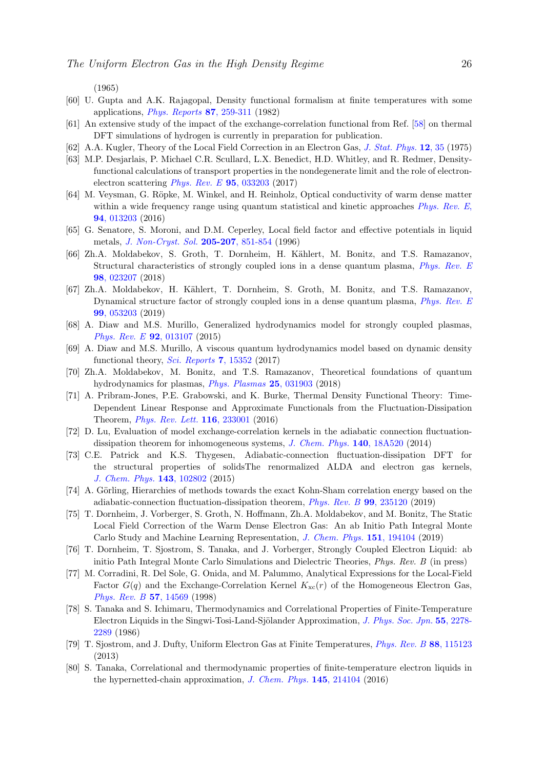(1965)

- <span id="page-25-0"></span>[60] U. Gupta and A.K. Rajagopal, Density functional formalism at finite temperatures with some applications, [Phys. Reports](https://www.sciencedirect.com/science/article/pii/0370157382900771) 87, 259-311 (1982)
- <span id="page-25-1"></span>[61] An extensive study of the impact of the exchange-correlation functional from Ref. [\[58\]](#page-24-18) on thermal DFT simulations of hydrogen is currently in preparation for publication.
- <span id="page-25-2"></span>[62] A.A. Kugler, Theory of the Local Field Correction in an Electron Gas, [J. Stat. Phys.]( http://link.springer.com/article/10.1007/BF01024183) 12, 35 (1975)
- <span id="page-25-3"></span>[63] M.P. Desjarlais, P. Michael C.R. Scullard, L.X. Benedict, H.D. Whitley, and R. Redmer, Densityfunctional calculations of transport properties in the nondegenerate limit and the role of electronelectron scattering *[Phys. Rev. E](https://journals.aps.org/pre/abstract/10.1103/PhysRevE.95.033203)*  $95, 033203$  (2017)
- <span id="page-25-4"></span>[64] M. Veysman, G. Röpke, M. Winkel, and H. Reinholz, Optical conductivity of warm dense matter within a wide frequency range using quantum statistical and kinetic approaches *[Phys. Rev. E](https://journals.aps.org/pre/abstract/10.1103/PhysRevE.94.013203).* 94[, 013203](https://journals.aps.org/pre/abstract/10.1103/PhysRevE.94.013203) (2016)
- <span id="page-25-5"></span>[65] G. Senatore, S. Moroni, and D.M. Ceperley, Local field factor and effective potentials in liquid metals, [J. Non-Cryst. Sol.](https://www.sciencedirect.com/science/article/pii/S002230939600316X) 205-207, 851-854 (1996)
- <span id="page-25-6"></span>[66] Zh.A. Moldabekov, S. Groth, T. Dornheim, H. Kählert, M. Bonitz, and T.S. Ramazanov, Structural characteristics of strongly coupled ions in a dense quantum plasma, [Phys. Rev. E](https://journals.aps.org/pre/abstract/10.1103/PhysRevE.98.023207) 98[, 023207](https://journals.aps.org/pre/abstract/10.1103/PhysRevE.98.023207) (2018)
- <span id="page-25-7"></span>[67] Zh.A. Moldabekov, H. Kählert, T. Dornheim, S. Groth, M. Bonitz, and T.S. Ramazanov, Dynamical structure factor of strongly coupled ions in a dense quantum plasma, [Phys. Rev. E](https://journals.aps.org/pre/abstract/10.1103/PhysRevE.99.053203) 99[, 053203](https://journals.aps.org/pre/abstract/10.1103/PhysRevE.99.053203) (2019)
- <span id="page-25-8"></span>[68] A. Diaw and M.S. Murillo, Generalized hydrodynamics model for strongly coupled plasmas, [Phys. Rev. E](https://journals.aps.org/pre/abstract/10.1103/PhysRevE.92.013107) 92, 013107 (2015)
- <span id="page-25-9"></span>[69] A. Diaw and M.S. Murillo, A viscous quantum hydrodynamics model based on dynamic density functional theory, [Sci. Reports](https://www.nature.com/articles/s41598-017-14414-9)  $7, 15352$  (2017)
- <span id="page-25-10"></span>[70] Zh.A. Moldabekov, M. Bonitz, and T.S. Ramazanov, Theoretical foundations of quantum hydrodynamics for plasmas, [Phys. Plasmas](https://aip.scitation.org/doi/abs/10.1063/1.5003910) 25, 031903 (2018)
- <span id="page-25-11"></span>[71] A. Pribram-Jones, P.E. Grabowski, and K. Burke, Thermal Density Functional Theory: Time-Dependent Linear Response and Approximate Functionals from the Fluctuation-Dissipation Theorem, [Phys. Rev. Lett.](https://journals.aps.org/prl/abstract/10.1103/PhysRevLett.116.233001) 116, 233001 (2016)
- <span id="page-25-12"></span>[72] D. Lu, Evaluation of model exchange-correlation kernels in the adiabatic connection fluctuationdissipation theorem for inhomogeneous systems, [J. Chem. Phys.](https://aip.scitation.org/doi/10.1063/1.4867538) 140, 18A520 (2014)
- <span id="page-25-13"></span>[73] C.E. Patrick and K.S. Thygesen, Adiabatic-connection fluctuation-dissipation DFT for the structural properties of solidsThe renormalized ALDA and electron gas kernels, [J. Chem. Phys.](https://aip.scitation.org/doi/10.1063/1.4919236) 143, 102802 (2015)
- <span id="page-25-14"></span>[74] A. Görling, Hierarchies of methods towards the exact Kohn-Sham correlation energy based on the adiabatic-connection fluctuation-dissipation theorem, [Phys. Rev. B](https://journals.aps.org/prb/abstract/10.1103/PhysRevB.99.235120) 99, 235120 (2019)
- <span id="page-25-15"></span>[75] T. Dornheim, J. Vorberger, S. Groth, N. Hoffmann, Zh.A. Moldabekov, and M. Bonitz, The Static Local Field Correction of the Warm Dense Electron Gas: An ab Initio Path Integral Monte Carlo Study and Machine Learning Representation, [J. Chem. Phys.](https://aip.scitation.org/doi/full/10.1063/1.5123013) 151, 194104 (2019)
- <span id="page-25-17"></span>[76] T. Dornheim, T. Sjostrom, S. Tanaka, and J. Vorberger, Strongly Coupled Electron Liquid: ab initio Path Integral Monte Carlo Simulations and Dielectric Theories, Phys. Rev. B (in press)
- <span id="page-25-16"></span>[77] M. Corradini, R. Del Sole, G. Onida, and M. Palummo, Analytical Expressions for the Local-Field Factor  $G(q)$  and the Exchange-Correlation Kernel  $K_{\rm xc}(r)$  of the Homogeneous Electron Gas, [Phys. Rev. B]( http://link.aps.org/doi/10.1103/PhysRevB.57.14569) 57, 14569 (1998)
- <span id="page-25-18"></span>[78] S. Tanaka and S. Ichimaru, Thermodynamics and Correlational Properties of Finite-Temperature Electron Liquids in the Singwi-Tosi-Land-Sjölander Approximation, [J. Phys. Soc. Jpn.]( http://journals.jps.jp/doi/abs/10.1143/JPSJ.55.2278 ) 55, 2278-[2289]( http://journals.jps.jp/doi/abs/10.1143/JPSJ.55.2278 ) (1986)
- <span id="page-25-19"></span>[79] T. Sjostrom, and J. Dufty, Uniform Electron Gas at Finite Temperatures, [Phys. Rev. B]( http://link.aps.org/doi/10.1103/PhysRevB.88.115123 ) 88, 115123 (2013)
- <span id="page-25-20"></span>[80] S. Tanaka, Correlational and thermodynamic properties of finite-temperature electron liquids in the hypernetted-chain approximation, [J. Chem. Phys.](https://aip.scitation.org/doi/abs/10.1063/1.4969071) 145, 214104 (2016)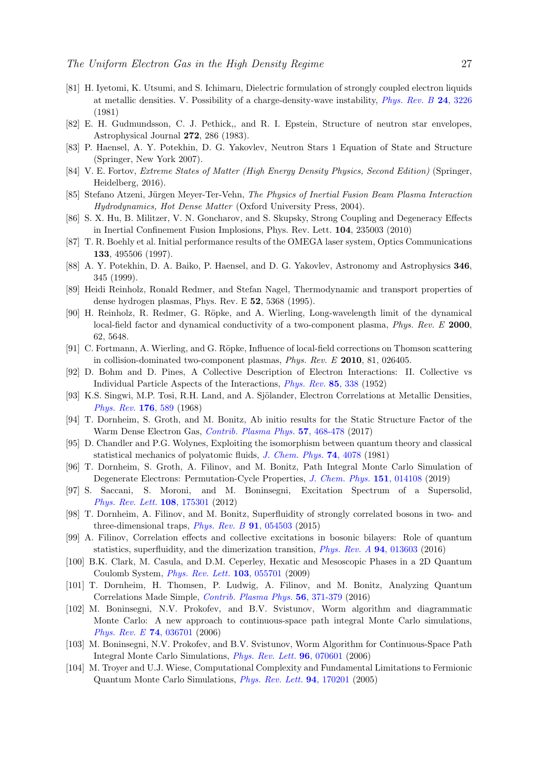- <span id="page-26-0"></span>[81] H. Iyetomi, K. Utsumi, and S. Ichimaru, Dielectric formulation of strongly coupled electron liquids at metallic densities. V. Possibility of a charge-density-wave instability, [Phys. Rev. B](https://journals.aps.org/prb/abstract/10.1103/PhysRevB.24.3226) 24, 3226 (1981)
- <span id="page-26-1"></span>[82] E. H. Gudmundsson, C. J. Pethick,, and R. I. Epstein, Structure of neutron star envelopes, Astrophysical Journal 272, 286 (1983).
- <span id="page-26-2"></span>[83] P. Haensel, A. Y. Potekhin, D. G. Yakovlev, Neutron Stars 1 Equation of State and Structure (Springer, New York 2007).
- <span id="page-26-3"></span>[84] V. E. Fortov, Extreme States of Matter (High Energy Density Physics, Second Edition) (Springer, Heidelberg, 2016).
- <span id="page-26-4"></span>[85] Stefano Atzeni, Jürgen Meyer-Ter-Vehn, The Physics of Inertial Fusion Beam Plasma Interaction Hydrodynamics, Hot Dense Matter (Oxford University Press, 2004).
- <span id="page-26-5"></span>[86] S. X. Hu, B. Militzer, V. N. Goncharov, and S. Skupsky, Strong Coupling and Degeneracy Effects in Inertial Confinement Fusion Implosions, Phys. Rev. Lett. 104, 235003 (2010)
- <span id="page-26-6"></span>[87] T. R. Boehly et al. Initial performance results of the OMEGA laser system, Optics Communications 133, 495506 (1997).
- <span id="page-26-7"></span>[88] A. Y. Potekhin, D. A. Baiko, P. Haensel, and D. G. Yakovlev, Astronomy and Astrophysics 346, 345 (1999).
- <span id="page-26-8"></span>[89] Heidi Reinholz, Ronald Redmer, and Stefan Nagel, Thermodynamic and transport properties of dense hydrogen plasmas, Phys. Rev. E 52, 5368 (1995).
- <span id="page-26-9"></span>[90] H. Reinholz, R. Redmer, G. Röpke, and A. Wierling, Long-wavelength limit of the dynamical local-field factor and dynamical conductivity of a two-component plasma, *Phys. Rev. E* 2000. 62, 5648.
- <span id="page-26-10"></span>[91] C. Fortmann, A. Wierling, and G. Röpke, Influence of local-field corrections on Thomson scattering in collision-dominated two-component plasmas, Phys. Rev. E 2010, 81, 026405.
- <span id="page-26-11"></span>[92] D. Bohm and D. Pines, A Collective Description of Electron Interactions: II. Collective vs Individual Particle Aspects of the Interactions, [Phys. Rev.](https://journals.aps.org/pr/abstract/10.1103/PhysRev.85.338) 85, 338 (1952)
- <span id="page-26-12"></span>[93] K.S. Singwi, M.P. Tosi, R.H. Land, and A. Sjölander, Electron Correlations at Metallic Densities, [Phys. Rev.]( http://link.aps.org/doi/10.1103/PhysRev.176.589) 176, 589 (1968)
- <span id="page-26-13"></span>[94] T. Dornheim, S. Groth, and M. Bonitz, Ab initio results for the Static Structure Factor of the Warm Dense Electron Gas, [Contrib. Plasma Phys.](https://onlinelibrary.wiley.com/doi/full/10.1002/ctpp.201700096) 57, 468-478 (2017)
- <span id="page-26-14"></span>[95] D. Chandler and P.G. Wolynes, Exploiting the isomorphism between quantum theory and classical statistical mechanics of polyatomic fluids, [J. Chem. Phys.](https://aip.scitation.org/doi/abs/10.1063/1.441588) 74, 4078 (1981)
- <span id="page-26-15"></span>[96] T. Dornheim, S. Groth, A. Filinov, and M. Bonitz, Path Integral Monte Carlo Simulation of Degenerate Electrons: Permutation-Cycle Properties, [J. Chem. Phys.](https://aip.scitation.org/doi/10.1063/1.5093171) 151, 014108 (2019)
- <span id="page-26-16"></span>[97] S. Saccani, S. Moroni, and M. Boninsegni, Excitation Spectrum of a Supersolid, [Phys. Rev. Lett.](https://journals.aps.org/prl/abstract/10.1103/PhysRevLett.108.175301) 108, 175301 (2012)
- <span id="page-26-17"></span>[98] T. Dornheim, A. Filinov, and M. Bonitz, Superfluidity of strongly correlated bosons in two- and three-dimensional traps,  $Phys. Rev. B$  91, 054503 (2015)
- <span id="page-26-18"></span>[99] A. Filinov, Correlation effects and collective excitations in bosonic bilayers: Role of quantum statistics, superfluidity, and the dimerization transition, [Phys. Rev. A](https://journals.aps.org/pra/abstract/10.1103/PhysRevA.94.013603) 94, 013603 (2016)
- <span id="page-26-19"></span>[100] B.K. Clark, M. Casula, and D.M. Ceperley, Hexatic and Mesoscopic Phases in a 2D Quantum Coulomb System, [Phys. Rev. Lett.](https://journals.aps.org/prl/abstract/10.1103/PhysRevLett.103.055701) 103, 055701 (2009)
- <span id="page-26-20"></span>[101] T. Dornheim, H. Thomsen, P. Ludwig, A. Filinov, and M. Bonitz, Analyzing Quantum Correlations Made Simple, [Contrib. Plasma Phys.](https://onlinelibrary.wiley.com/doi/abs/10.1002/ctpp.201500120) 56, 371-379 (2016)
- <span id="page-26-21"></span>[102] M. Boninsegni, N.V. Prokofev, and B.V. Svistunov, Worm algorithm and diagrammatic Monte Carlo: A new approach to continuous-space path integral Monte Carlo simulations, [Phys. Rev. E](https://journals.aps.org/pre/abstract/10.1103/PhysRevE.74.036701) 74, 036701 (2006)
- <span id="page-26-22"></span>[103] M. Boninsegni, N.V. Prokofev, and B.V. Svistunov, Worm Algorithm for Continuous-Space Path Integral Monte Carlo Simulations, [Phys. Rev. Lett.](https://journals.aps.org/prl/abstract/10.1103/PhysRevLett.96.070601) 96, 070601 (2006)
- <span id="page-26-23"></span>[104] M. Troyer and U.J. Wiese, Computational Complexity and Fundamental Limitations to Fermionic Quantum Monte Carlo Simulations, [Phys. Rev. Lett.](http://link.aps.org/doi/10.1103/PhysRevLett.94.170201) 94, 170201 (2005)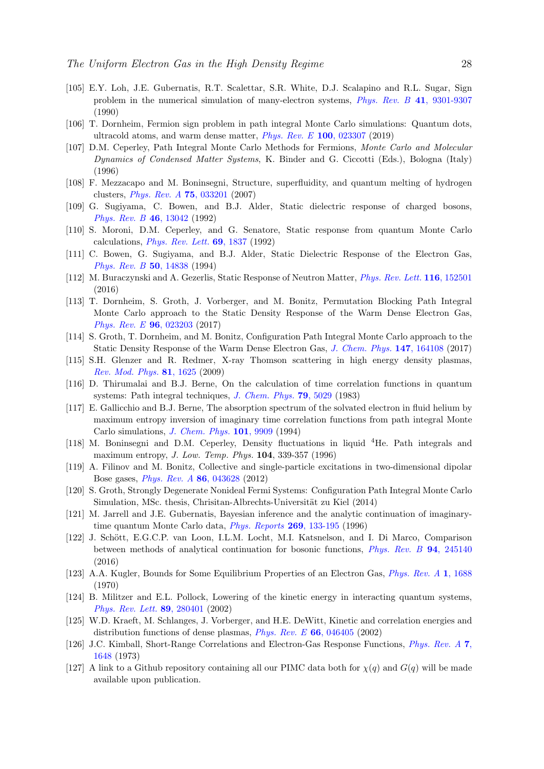- <span id="page-27-1"></span>[105] E.Y. Loh, J.E. Gubernatis, R.T. Scalettar, S.R. White, D.J. Scalapino and R.L. Sugar, Sign problem in the numerical simulation of many-electron systems, [Phys. Rev. B](http://link.aps.org/doi/10.1103/PhysRevB.41.9301) 41, 9301-9307 (1990)
- <span id="page-27-0"></span>[106] T. Dornheim, Fermion sign problem in path integral Monte Carlo simulations: Quantum dots, ultracold atoms, and warm dense matter, [Phys. Rev. E](https://journals.aps.org/pre/abstract/10.1103/PhysRevE.100.023307) 100, 023307 (2019)
- <span id="page-27-2"></span>[107] D.M. Ceperley, Path Integral Monte Carlo Methods for Fermions, Monte Carlo and Molecular Dynamics of Condensed Matter Systems, K. Binder and G. Ciccotti (Eds.), Bologna (Italy) (1996)
- <span id="page-27-3"></span>[108] F. Mezzacapo and M. Boninsegni, Structure, superfluidity, and quantum melting of hydrogen clusters, [Phys. Rev. A](https://journals.aps.org/pra/abstract/10.1103/PhysRevA.75.033201) 75, 033201 (2007)
- <span id="page-27-4"></span>[109] G. Sugiyama, C. Bowen, and B.J. Alder, Static dielectric response of charged bosons, [Phys. Rev. B](https://journals.aps.org/prb/abstract/10.1103/PhysRevB.46.13042) 46, 13042 (1992)
- <span id="page-27-5"></span>[110] S. Moroni, D.M. Ceperley, and G. Senatore, Static response from quantum Monte Carlo calculations, *[Phys. Rev. Lett.](https://journals.aps.org/prl/abstract/10.1103/PhysRevLett.69.1837)* **69**, 1837 (1992)
- <span id="page-27-6"></span>[111] C. Bowen, G. Sugiyama, and B.J. Alder, Static Dielectric Response of the Electron Gas, [Phys. Rev. B]( http://link.aps.org/doi/10.1103/PhysRevB.50.14838) 50, 14838 (1994)
- <span id="page-27-7"></span>[112] M. Buraczynski and A. Gezerlis, Static Response of Neutron Matter, [Phys. Rev. Lett.](https://journals.aps.org/prl/abstract/10.1103/PhysRevLett.116.152501) 116, 152501 (2016)
- <span id="page-27-8"></span>[113] T. Dornheim, S. Groth, J. Vorberger, and M. Bonitz, Permutation Blocking Path Integral Monte Carlo approach to the Static Density Response of the Warm Dense Electron Gas, [Phys. Rev. E](https://journals.aps.org/pre/abstract/10.1103/PhysRevE.96.023203) 96, 023203 (2017)
- <span id="page-27-9"></span>[114] S. Groth, T. Dornheim, and M. Bonitz, Configuration Path Integral Monte Carlo approach to the Static Density Response of the Warm Dense Electron Gas, [J. Chem. Phys.](https://aip.scitation.org/doi/abs/10.1063/1.4999907) 147, 164108 (2017)
- <span id="page-27-10"></span>[115] S.H. Glenzer and R. Redmer, X-ray Thomson scattering in high energy density plasmas, [Rev. Mod. Phys.](https://journals.aps.org/rmp/abstract/10.1103/RevModPhys.81.1625) 81, 1625 (2009)
- <span id="page-27-11"></span>[116] D. Thirumalai and B.J. Berne, On the calculation of time correlation functions in quantum systems: Path integral techniques, [J. Chem. Phys.](https://aip.scitation.org/doi/abs/10.1063/1.445597) 79, 5029 (1983)
- <span id="page-27-12"></span>[117] E. Gallicchio and B.J. Berne, The absorption spectrum of the solvated electron in fluid helium by maximum entropy inversion of imaginary time correlation functions from path integral Monte Carlo simulations, [J. Chem. Phys.](https://aip.scitation.org/doi/abs/10.1063/1.467892) 101, 9909 (1994)
- <span id="page-27-13"></span>[118] M. Boninsegni and D.M. Ceperley, Density fluctuations in liquid <sup>4</sup>He. Path integrals and maximum entropy, J. Low. Temp. Phys. 104, 339-357 (1996)
- <span id="page-27-14"></span>[119] A. Filinov and M. Bonitz, Collective and single-particle excitations in two-dimensional dipolar Bose gases, [Phys. Rev. A](https://journals.aps.org/pra/abstract/10.1103/PhysRevA.86.043628) 86, 043628 (2012)
- <span id="page-27-15"></span>[120] S. Groth, Strongly Degenerate Nonideal Fermi Systems: Configuration Path Integral Monte Carlo Simulation, MSc. thesis, Chrisitan-Albrechts-Universität zu Kiel (2014)
- <span id="page-27-16"></span>[121] M. Jarrell and J.E. Gubernatis, Bayesian inference and the analytic continuation of imaginarytime quantum Monte Carlo data, [Phys. Reports](https://www.sciencedirect.com/science/article/abs/pii/0370157395000747) 269, 133-195 (1996)
- <span id="page-27-17"></span>[122] J. Schött, E.G.C.P. van Loon, I.L.M. Locht, M.I. Katsnelson, and I. Di Marco, Comparison between methods of analytical continuation for bosonic functions, [Phys. Rev. B](https://journals.aps.org/prb/abstract/10.1103/PhysRevB.94.245140) 94, 245140 (2016)
- <span id="page-27-18"></span>[123] A.A. Kugler, Bounds for Some Equilibrium Properties of an Electron Gas, [Phys. Rev. A](https://journals.aps.org/pra/abstract/10.1103/PhysRevA.1.1688) 1, 1688 (1970)
- <span id="page-27-19"></span>[124] B. Militzer and E.L. Pollock, Lowering of the kinetic energy in interacting quantum systems, [Phys. Rev. Lett.](https://journals.aps.org/prl/abstract/10.1103/PhysRevLett.89.280401) 89, 280401 (2002)
- <span id="page-27-20"></span>[125] W.D. Kraeft, M. Schlanges, J. Vorberger, and H.E. DeWitt, Kinetic and correlation energies and distribution functions of dense plasmas, [Phys. Rev. E](https://journals.aps.org/pre/abstract/10.1103/PhysRevE.66.046405) 66, 046405 (2002)
- <span id="page-27-21"></span>[126] J.C. Kimball, Short-Range Correlations and Electron-Gas Response Functions, [Phys. Rev. A](https://journals.aps.org/pra/abstract/10.1103/PhysRevA.7.1648) 7, [1648](https://journals.aps.org/pra/abstract/10.1103/PhysRevA.7.1648) (1973)
- <span id="page-27-22"></span>[127] A link to a Github repository containing all our PIMC data both for  $\chi(q)$  and  $G(q)$  will be made available upon publication.